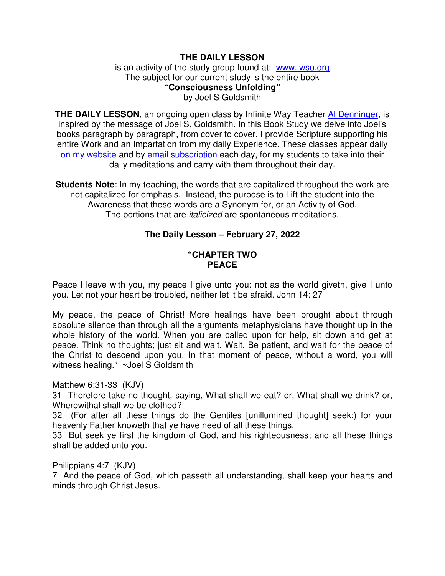# **THE DAILY LESSON**

is an activity of the study group found at: www.iwso.org The subject for our current study is the entire book **"Consciousness Unfolding"**  by Joel S Goldsmith

**THE DAILY LESSON**, an ongoing open class by Infinite Way Teacher Al Denninger, is inspired by the message of Joel S. Goldsmith. In this Book Study we delve into Joel's books paragraph by paragraph, from cover to cover. I provide Scripture supporting his entire Work and an Impartation from my daily Experience. These classes appear daily on my website and by email subscription each day, for my students to take into their daily meditations and carry with them throughout their day.

**Students Note**: In my teaching, the words that are capitalized throughout the work are not capitalized for emphasis. Instead, the purpose is to Lift the student into the Awareness that these words are a Synonym for, or an Activity of God. The portions that are *italicized* are spontaneous meditations.

# **The Daily Lesson – February 27, 2022**

#### **"CHAPTER TWO PEACE**

Peace I leave with you, my peace I give unto you: not as the world giveth, give I unto you. Let not your heart be troubled, neither let it be afraid. John 14: 27

My peace, the peace of Christ! More healings have been brought about through absolute silence than through all the arguments metaphysicians have thought up in the whole history of the world. When you are called upon for help, sit down and get at peace. Think no thoughts; just sit and wait. Wait. Be patient, and wait for the peace of the Christ to descend upon you. In that moment of peace, without a word, you will witness healing." ~Joel S Goldsmith

Matthew 6:31-33 (KJV)

31 Therefore take no thought, saying, What shall we eat? or, What shall we drink? or, Wherewithal shall we be clothed?

32 (For after all these things do the Gentiles [unillumined thought] seek:) for your heavenly Father knoweth that ye have need of all these things.

33 But seek ye first the kingdom of God, and his righteousness; and all these things shall be added unto you.

Philippians 4:7 (KJV)

7 And the peace of God, which passeth all understanding, shall keep your hearts and minds through Christ Jesus.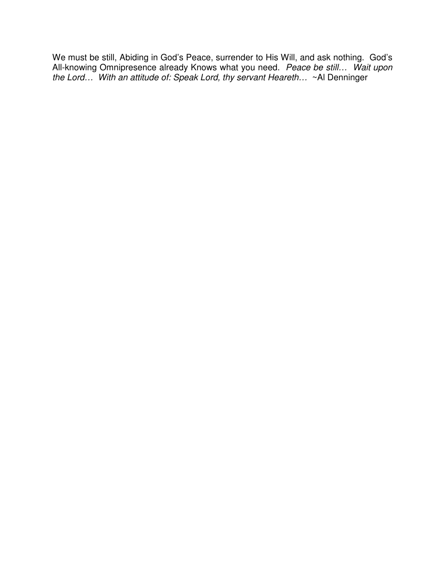We must be still, Abiding in God's Peace, surrender to His Will, and ask nothing. God's All-knowing Omnipresence already Knows what you need. *Peace be still… Wait upon the Lord… With an attitude of: Speak Lord, thy servant Heareth…* ~Al Denninger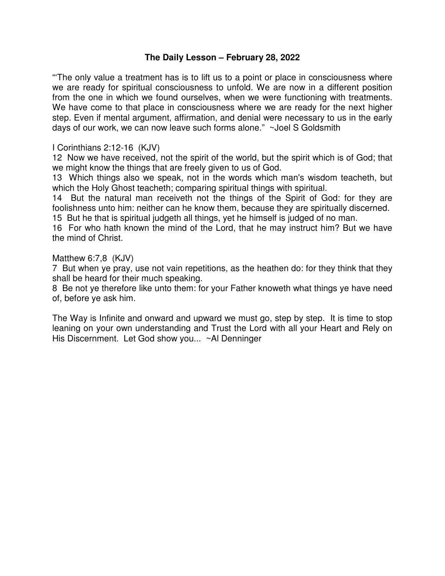# **The Daily Lesson – February 28, 2022**

"'The only value a treatment has is to lift us to a point or place in consciousness where we are ready for spiritual consciousness to unfold. We are now in a different position from the one in which we found ourselves, when we were functioning with treatments. We have come to that place in consciousness where we are ready for the next higher step. Even if mental argument, affirmation, and denial were necessary to us in the early days of our work, we can now leave such forms alone." ~Joel S Goldsmith

## I Corinthians 2:12-16 (KJV)

12 Now we have received, not the spirit of the world, but the spirit which is of God; that we might know the things that are freely given to us of God.

13 Which things also we speak, not in the words which man's wisdom teacheth, but which the Holy Ghost teacheth; comparing spiritual things with spiritual.

14 But the natural man receiveth not the things of the Spirit of God: for they are foolishness unto him: neither can he know them, because they are spiritually discerned.

15 But he that is spiritual judgeth all things, yet he himself is judged of no man.

16 For who hath known the mind of the Lord, that he may instruct him? But we have the mind of Christ.

#### Matthew 6:7,8 (KJV)

7 But when ye pray, use not vain repetitions, as the heathen do: for they think that they shall be heard for their much speaking.

8 Be not ye therefore like unto them: for your Father knoweth what things ye have need of, before ye ask him.

The Way is Infinite and onward and upward we must go, step by step. It is time to stop leaning on your own understanding and Trust the Lord with all your Heart and Rely on His Discernment. Let God show you... ~Al Denninger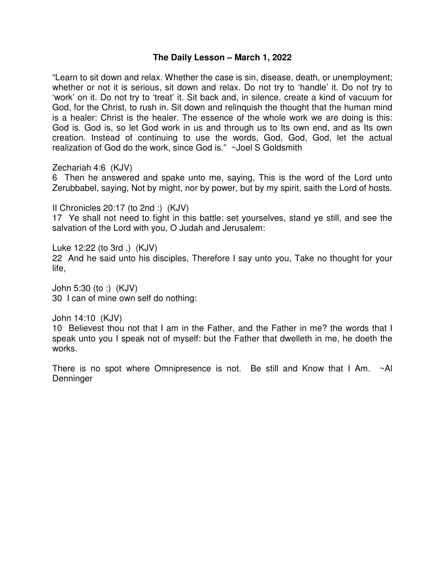## **The Daily Lesson – March 1, 2022**

"Learn to sit down and relax. Whether the case is sin, disease, death, or unemployment; whether or not it is serious, sit down and relax. Do not try to 'handle' it. Do not try to 'work' on it. Do not try to 'treat' it. Sit back and, in silence, create a kind of vacuum for God, for the Christ, to rush in. Sit down and relinquish the thought that the human mind is a healer: Christ is the healer. The essence of the whole work we are doing is this: God is. God is, so let God work in us and through us to Its own end, and as Its own creation. Instead of continuing to use the words, God, God, God, let the actual realization of God do the work, since God is." ~Joel S Goldsmith

Zechariah 4:6 (KJV)

6 Then he answered and spake unto me, saying, This is the word of the Lord unto Zerubbabel, saying, Not by might, nor by power, but by my spirit, saith the Lord of hosts.

II Chronicles 20:17 (to 2nd :) (KJV) 17 Ye shall not need to fight in this battle: set yourselves, stand ye still, and see the salvation of the Lord with you, O Judah and Jerusalem:

Luke 12:22 (to 3rd ,) (KJV) 22 And he said unto his disciples, Therefore I say unto you, Take no thought for your life,

John 5:30 (to :) (KJV) 30 I can of mine own self do nothing:

John 14:10 (KJV)

10 Believest thou not that I am in the Father, and the Father in me? the words that I speak unto you I speak not of myself: but the Father that dwelleth in me, he doeth the works.

There is no spot where Omnipresence is not. Be still and Know that I Am. ~Al Denninger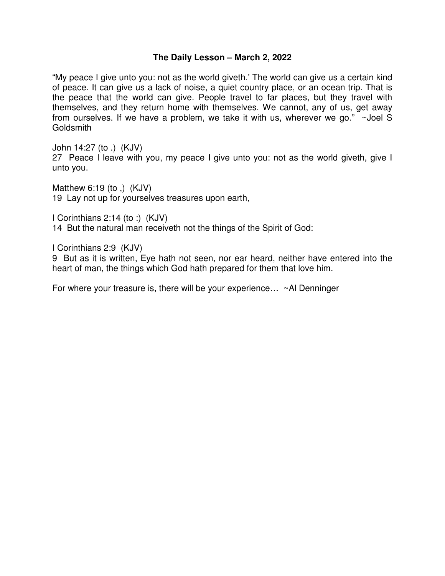#### **The Daily Lesson – March 2, 2022**

"My peace I give unto you: not as the world giveth.' The world can give us a certain kind of peace. It can give us a lack of noise, a quiet country place, or an ocean trip. That is the peace that the world can give. People travel to far places, but they travel with themselves, and they return home with themselves. We cannot, any of us, get away from ourselves. If we have a problem, we take it with us, wherever we go." ~Joel S **Goldsmith** 

John 14:27 (to .) (KJV)

27 Peace I leave with you, my peace I give unto you: not as the world giveth, give I unto you.

Matthew 6:19 (to ,) (KJV) 19 Lay not up for yourselves treasures upon earth,

I Corinthians 2:14 (to :) (KJV) 14 But the natural man receiveth not the things of the Spirit of God:

I Corinthians 2:9 (KJV)

9 But as it is written, Eye hath not seen, nor ear heard, neither have entered into the heart of man, the things which God hath prepared for them that love him.

For where your treasure is, there will be your experience… ~Al Denninger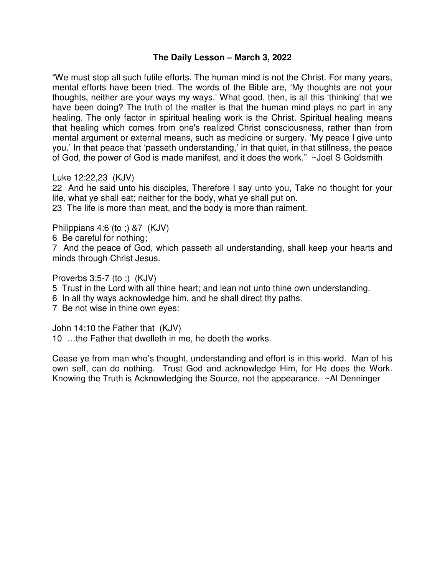# **The Daily Lesson – March 3, 2022**

"We must stop all such futile efforts. The human mind is not the Christ. For many years, mental efforts have been tried. The words of the Bible are, 'My thoughts are not your thoughts, neither are your ways my ways.' What good, then, is all this 'thinking' that we have been doing? The truth of the matter is that the human mind plays no part in any healing. The only factor in spiritual healing work is the Christ. Spiritual healing means that healing which comes from one's realized Christ consciousness, rather than from mental argument or external means, such as medicine or surgery. 'My peace I give unto you.' In that peace that 'passeth understanding,' in that quiet, in that stillness, the peace of God, the power of God is made manifest, and it does the work." ~Joel S Goldsmith

Luke 12:22,23 (KJV)

22 And he said unto his disciples, Therefore I say unto you, Take no thought for your life, what ye shall eat; neither for the body, what ye shall put on.

23 The life is more than meat, and the body is more than raiment.

Philippians 4:6 (to ;) &7 (KJV)

6 Be careful for nothing;

7 And the peace of God, which passeth all understanding, shall keep your hearts and minds through Christ Jesus.

Proverbs 3:5-7 (to :) (KJV)

- 5 Trust in the Lord with all thine heart; and lean not unto thine own understanding.
- 6 In all thy ways acknowledge him, and he shall direct thy paths.

7 Be not wise in thine own eyes:

John 14:10 the Father that (KJV)

10 …the Father that dwelleth in me, he doeth the works.

Cease ye from man who's thought, understanding and effort is in this-world. Man of his own self, can do nothing. Trust God and acknowledge Him, for He does the Work. Knowing the Truth is Acknowledging the Source, not the appearance. ~Al Denninger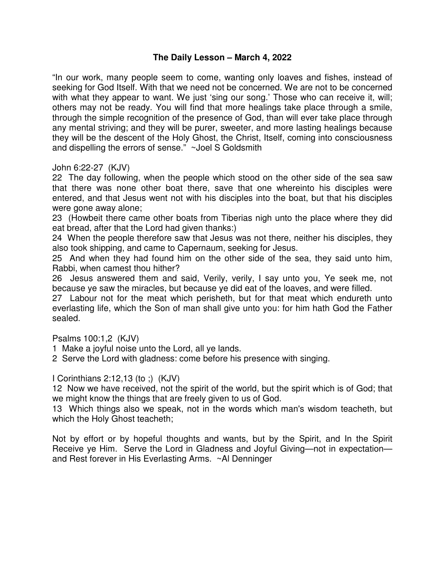# **The Daily Lesson – March 4, 2022**

"In our work, many people seem to come, wanting only loaves and fishes, instead of seeking for God Itself. With that we need not be concerned. We are not to be concerned with what they appear to want. We just 'sing our song.' Those who can receive it, will; others may not be ready. You will find that more healings take place through a smile, through the simple recognition of the presence of God, than will ever take place through any mental striving; and they will be purer, sweeter, and more lasting healings because they will be the descent of the Holy Ghost, the Christ, Itself, coming into consciousness and dispelling the errors of sense." ~Joel S Goldsmith

## John 6:22-27 (KJV)

22 The day following, when the people which stood on the other side of the sea saw that there was none other boat there, save that one whereinto his disciples were entered, and that Jesus went not with his disciples into the boat, but that his disciples were gone away alone;

23 (Howbeit there came other boats from Tiberias nigh unto the place where they did eat bread, after that the Lord had given thanks:)

24 When the people therefore saw that Jesus was not there, neither his disciples, they also took shipping, and came to Capernaum, seeking for Jesus.

25 And when they had found him on the other side of the sea, they said unto him, Rabbi, when camest thou hither?

26 Jesus answered them and said, Verily, verily, I say unto you, Ye seek me, not because ye saw the miracles, but because ye did eat of the loaves, and were filled.

27 Labour not for the meat which perisheth, but for that meat which endureth unto everlasting life, which the Son of man shall give unto you: for him hath God the Father sealed.

Psalms 100:1,2 (KJV)

1 Make a joyful noise unto the Lord, all ye lands.

2 Serve the Lord with gladness: come before his presence with singing.

I Corinthians 2:12,13 (to ;) (KJV)

12 Now we have received, not the spirit of the world, but the spirit which is of God; that we might know the things that are freely given to us of God.

13 Which things also we speak, not in the words which man's wisdom teacheth, but which the Holy Ghost teacheth;

Not by effort or by hopeful thoughts and wants, but by the Spirit, and In the Spirit Receive ye Him. Serve the Lord in Gladness and Joyful Giving—not in expectation and Rest forever in His Everlasting Arms. ~Al Denninger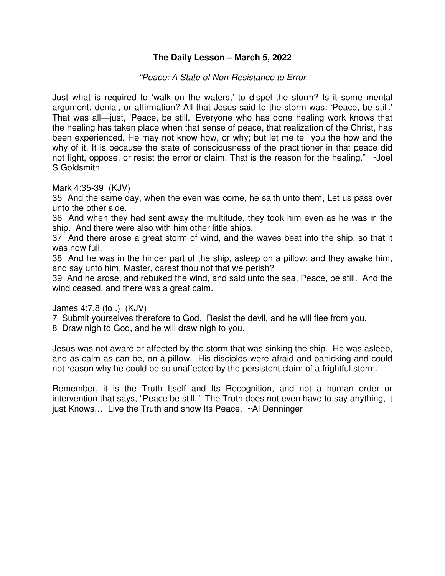# **The Daily Lesson – March 5, 2022**

#### *"Peace: A State of Non-Resistance to Error*

Just what is required to 'walk on the waters,' to dispel the storm? Is it some mental argument, denial, or affirmation? All that Jesus said to the storm was: 'Peace, be still.' That was all—just, 'Peace, be still.' Everyone who has done healing work knows that the healing has taken place when that sense of peace, that realization of the Christ, has been experienced. He may not know how, or why; but let me tell you the how and the why of it. It is because the state of consciousness of the practitioner in that peace did not fight, oppose, or resist the error or claim. That is the reason for the healing." ~Joel S Goldsmith

Mark 4:35-39 (KJV)

35 And the same day, when the even was come, he saith unto them, Let us pass over unto the other side.

36 And when they had sent away the multitude, they took him even as he was in the ship. And there were also with him other little ships.

37 And there arose a great storm of wind, and the waves beat into the ship, so that it was now full.

38 And he was in the hinder part of the ship, asleep on a pillow: and they awake him, and say unto him, Master, carest thou not that we perish?

39 And he arose, and rebuked the wind, and said unto the sea, Peace, be still. And the wind ceased, and there was a great calm.

#### James 4:7,8 (to .) (KJV)

7 Submit yourselves therefore to God. Resist the devil, and he will flee from you.

8 Draw nigh to God, and he will draw nigh to you.

Jesus was not aware or affected by the storm that was sinking the ship. He was asleep, and as calm as can be, on a pillow. His disciples were afraid and panicking and could not reason why he could be so unaffected by the persistent claim of a frightful storm.

Remember, it is the Truth Itself and Its Recognition, and not a human order or intervention that says, "Peace be still." The Truth does not even have to say anything, it just Knows… Live the Truth and show Its Peace. ~Al Denninger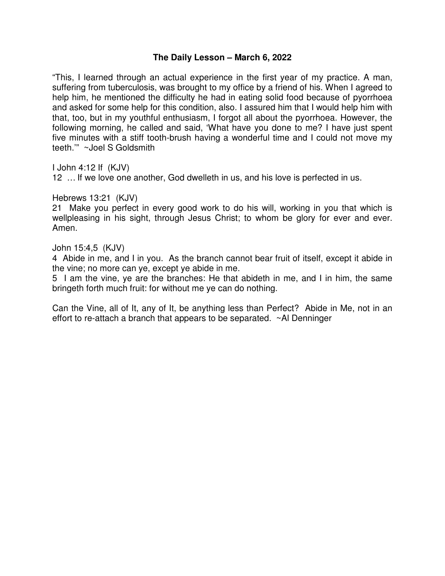## **The Daily Lesson – March 6, 2022**

"This, I learned through an actual experience in the first year of my practice. A man, suffering from tuberculosis, was brought to my office by a friend of his. When I agreed to help him, he mentioned the difficulty he had in eating solid food because of pyorrhoea and asked for some help for this condition, also. I assured him that I would help him with that, too, but in my youthful enthusiasm, I forgot all about the pyorrhoea. However, the following morning, he called and said, 'What have you done to me? I have just spent five minutes with a stiff tooth-brush having a wonderful time and I could not move my teeth.'" ~Joel S Goldsmith

I John 4:12 If (KJV)

12 … If we love one another, God dwelleth in us, and his love is perfected in us.

Hebrews 13:21 (KJV)

21 Make you perfect in every good work to do his will, working in you that which is wellpleasing in his sight, through Jesus Christ; to whom be glory for ever and ever. Amen.

John 15:4,5 (KJV)

4 Abide in me, and I in you. As the branch cannot bear fruit of itself, except it abide in the vine; no more can ye, except ye abide in me.

5 I am the vine, ye are the branches: He that abideth in me, and I in him, the same bringeth forth much fruit: for without me ye can do nothing.

Can the Vine, all of It, any of It, be anything less than Perfect? Abide in Me, not in an effort to re-attach a branch that appears to be separated. ~Al Denninger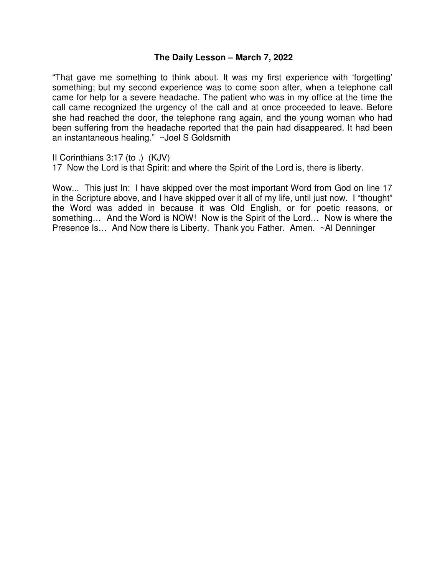### **The Daily Lesson – March 7, 2022**

"That gave me something to think about. It was my first experience with 'forgetting' something; but my second experience was to come soon after, when a telephone call came for help for a severe headache. The patient who was in my office at the time the call came recognized the urgency of the call and at once proceeded to leave. Before she had reached the door, the telephone rang again, and the young woman who had been suffering from the headache reported that the pain had disappeared. It had been an instantaneous healing." ~Joel S Goldsmith

II Corinthians 3:17 (to .) (KJV)

17 Now the Lord is that Spirit: and where the Spirit of the Lord is, there is liberty.

Wow... This just In: I have skipped over the most important Word from God on line 17 in the Scripture above, and I have skipped over it all of my life, until just now. I "thought" the Word was added in because it was Old English, or for poetic reasons, or something… And the Word is NOW! Now is the Spirit of the Lord… Now is where the Presence Is… And Now there is Liberty. Thank you Father. Amen. ~Al Denninger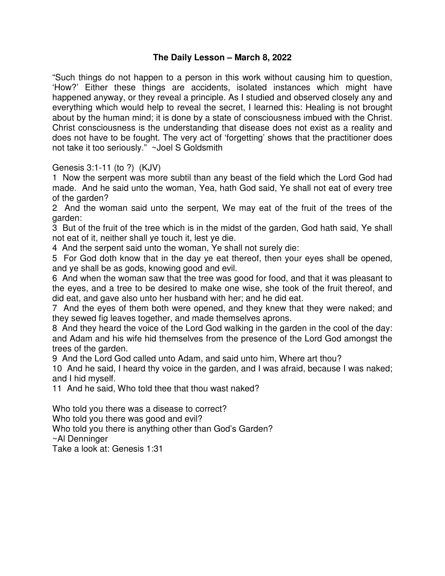# **The Daily Lesson – March 8, 2022**

"Such things do not happen to a person in this work without causing him to question, 'How?' Either these things are accidents, isolated instances which might have happened anyway, or they reveal a principle. As I studied and observed closely any and everything which would help to reveal the secret, I learned this: Healing is not brought about by the human mind; it is done by a state of consciousness imbued with the Christ. Christ consciousness is the understanding that disease does not exist as a reality and does not have to be fought. The very act of 'forgetting' shows that the practitioner does not take it too seriously." ~Joel S Goldsmith

Genesis 3:1-11 (to ?) (KJV)

1 Now the serpent was more subtil than any beast of the field which the Lord God had made. And he said unto the woman, Yea, hath God said, Ye shall not eat of every tree of the garden?

2 And the woman said unto the serpent, We may eat of the fruit of the trees of the garden:

3 But of the fruit of the tree which is in the midst of the garden, God hath said, Ye shall not eat of it, neither shall ye touch it, lest ye die.

4 And the serpent said unto the woman, Ye shall not surely die:

5 For God doth know that in the day ye eat thereof, then your eyes shall be opened, and ye shall be as gods, knowing good and evil.

6 And when the woman saw that the tree was good for food, and that it was pleasant to the eyes, and a tree to be desired to make one wise, she took of the fruit thereof, and did eat, and gave also unto her husband with her; and he did eat.

7 And the eyes of them both were opened, and they knew that they were naked; and they sewed fig leaves together, and made themselves aprons.

8 And they heard the voice of the Lord God walking in the garden in the cool of the day: and Adam and his wife hid themselves from the presence of the Lord God amongst the trees of the garden.

9 And the Lord God called unto Adam, and said unto him, Where art thou?

10 And he said, I heard thy voice in the garden, and I was afraid, because I was naked; and I hid myself.

11 And he said, Who told thee that thou wast naked?

Who told you there was a disease to correct?

Who told you there was good and evil?

Who told you there is anything other than God's Garden?

~Al Denninger

Take a look at: Genesis 1:31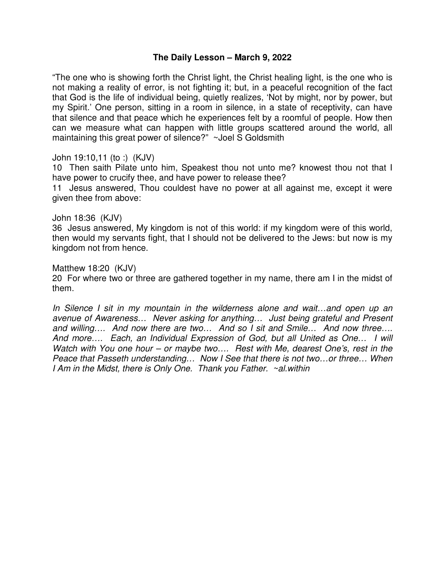#### **The Daily Lesson – March 9, 2022**

"The one who is showing forth the Christ light, the Christ healing light, is the one who is not making a reality of error, is not fighting it; but, in a peaceful recognition of the fact that God is the life of individual being, quietly realizes, 'Not by might, nor by power, but my Spirit.' One person, sitting in a room in silence, in a state of receptivity, can have that silence and that peace which he experiences felt by a roomful of people. How then can we measure what can happen with little groups scattered around the world, all maintaining this great power of silence?" ~Joel S Goldsmith

John 19:10,11 (to :) (KJV)

10 Then saith Pilate unto him, Speakest thou not unto me? knowest thou not that I have power to crucify thee, and have power to release thee?

11 Jesus answered, Thou couldest have no power at all against me, except it were given thee from above:

#### John 18:36 (KJV)

36 Jesus answered, My kingdom is not of this world: if my kingdom were of this world, then would my servants fight, that I should not be delivered to the Jews: but now is my kingdom not from hence.

#### Matthew 18:20 (KJV)

20 For where two or three are gathered together in my name, there am I in the midst of them.

In Silence I sit in my mountain in the wilderness alone and wait...and open up an *avenue of Awareness… Never asking for anything… Just being grateful and Present and willing…. And now there are two… And so I sit and Smile… And now three…. And more…. Each, an Individual Expression of God, but all United as One… I will Watch with You one hour – or maybe two…. Rest with Me, dearest One's, rest in the Peace that Passeth understanding… Now I See that there is not two…or three… When I Am in the Midst, there is Only One. Thank you Father. ~al.within*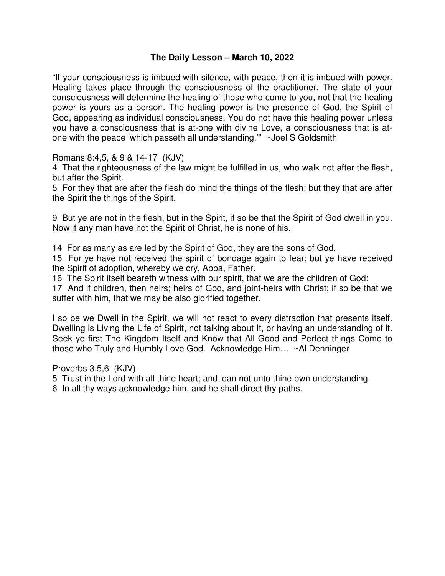# **The Daily Lesson – March 10, 2022**

"If your consciousness is imbued with silence, with peace, then it is imbued with power. Healing takes place through the consciousness of the practitioner. The state of your consciousness will determine the healing of those who come to you, not that the healing power is yours as a person. The healing power is the presence of God, the Spirit of God, appearing as individual consciousness. You do not have this healing power unless you have a consciousness that is at-one with divine Love, a consciousness that is atone with the peace 'which passeth all understanding.'" ~Joel S Goldsmith

Romans 8:4,5, & 9 & 14-17 (KJV)

4 That the righteousness of the law might be fulfilled in us, who walk not after the flesh, but after the Spirit.

5 For they that are after the flesh do mind the things of the flesh; but they that are after the Spirit the things of the Spirit.

9 But ye are not in the flesh, but in the Spirit, if so be that the Spirit of God dwell in you. Now if any man have not the Spirit of Christ, he is none of his.

14 For as many as are led by the Spirit of God, they are the sons of God.

15 For ye have not received the spirit of bondage again to fear; but ye have received the Spirit of adoption, whereby we cry, Abba, Father.

16 The Spirit itself beareth witness with our spirit, that we are the children of God:

17 And if children, then heirs; heirs of God, and joint-heirs with Christ; if so be that we suffer with him, that we may be also glorified together.

I so be we Dwell in the Spirit, we will not react to every distraction that presents itself. Dwelling is Living the Life of Spirit, not talking about It, or having an understanding of it. Seek ye first The Kingdom Itself and Know that All Good and Perfect things Come to those who Truly and Humbly Love God. Acknowledge Him… ~Al Denninger

Proverbs 3:5,6 (KJV)

5 Trust in the Lord with all thine heart; and lean not unto thine own understanding.

6 In all thy ways acknowledge him, and he shall direct thy paths.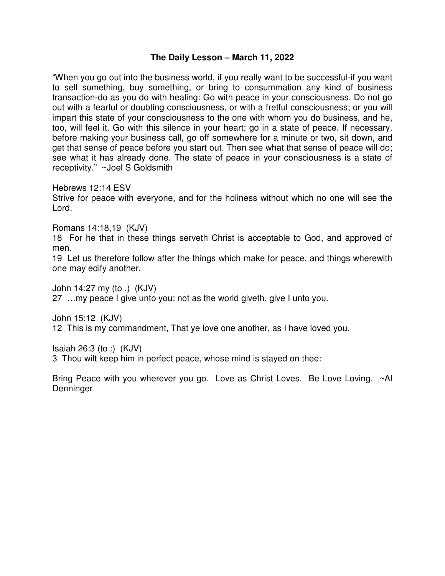## **The Daily Lesson – March 11, 2022**

"When you go out into the business world, if you really want to be successful-if you want to sell something, buy something, or bring to consummation any kind of business transaction-do as you do with healing: Go with peace in your consciousness. Do not go out with a fearful or doubting consciousness, or with a fretful consciousness; or you will impart this state of your consciousness to the one with whom you do business, and he, too, will feel it. Go with this silence in your heart; go in a state of peace. If necessary, before making your business call, go off somewhere for a minute or two, sit down, and get that sense of peace before you start out. Then see what that sense of peace will do; see what it has already done. The state of peace in your consciousness is a state of receptivity." ~Joel S Goldsmith

Hebrews 12:14 ESV

Strive for peace with everyone, and for the holiness without which no one will see the Lord.

Romans 14:18,19 (KJV)

18 For he that in these things serveth Christ is acceptable to God, and approved of men.

19 Let us therefore follow after the things which make for peace, and things wherewith one may edify another.

John 14:27 my (to .) (KJV) 27 …my peace I give unto you: not as the world giveth, give I unto you.

John 15:12 (KJV) 12 This is my commandment, That ye love one another, as I have loved you.

Isaiah 26:3 (to :) (KJV)

3 Thou wilt keep him in perfect peace, whose mind is stayed on thee:

Bring Peace with you wherever you go. Love as Christ Loves. Be Love Loving. ~Al **Denninger**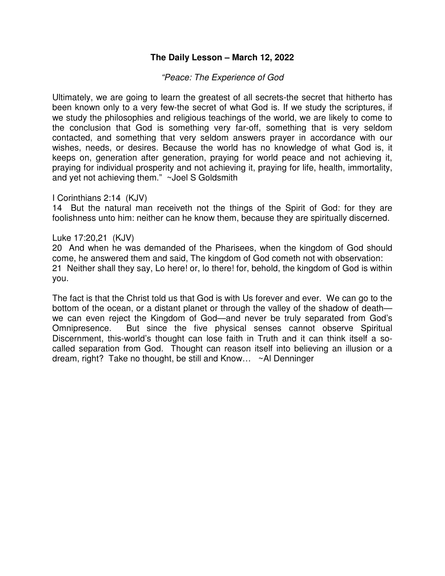# **The Daily Lesson – March 12, 2022**

#### *"Peace: The Experience of God*

Ultimately, we are going to learn the greatest of all secrets-the secret that hitherto has been known only to a very few-the secret of what God is. If we study the scriptures, if we study the philosophies and religious teachings of the world, we are likely to come to the conclusion that God is something very far-off, something that is very seldom contacted, and something that very seldom answers prayer in accordance with our wishes, needs, or desires. Because the world has no knowledge of what God is, it keeps on, generation after generation, praying for world peace and not achieving it, praying for individual prosperity and not achieving it, praying for life, health, immortality, and yet not achieving them." ~Joel S Goldsmith

#### I Corinthians 2:14 (KJV)

14 But the natural man receiveth not the things of the Spirit of God: for they are foolishness unto him: neither can he know them, because they are spiritually discerned.

#### Luke 17:20,21 (KJV)

20 And when he was demanded of the Pharisees, when the kingdom of God should come, he answered them and said, The kingdom of God cometh not with observation: 21 Neither shall they say, Lo here! or, lo there! for, behold, the kingdom of God is within you.

The fact is that the Christ told us that God is with Us forever and ever. We can go to the bottom of the ocean, or a distant planet or through the valley of the shadow of death we can even reject the Kingdom of God—and never be truly separated from God's Omnipresence. But since the five physical senses cannot observe Spiritual Discernment, this-world's thought can lose faith in Truth and it can think itself a socalled separation from God. Thought can reason itself into believing an illusion or a dream, right? Take no thought, be still and Know… ~Al Denninger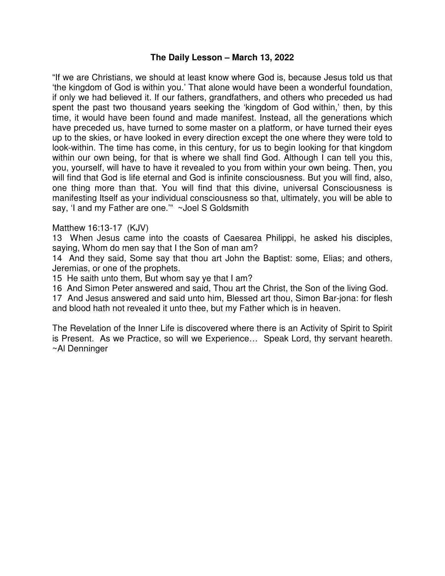#### **The Daily Lesson – March 13, 2022**

"If we are Christians, we should at least know where God is, because Jesus told us that 'the kingdom of God is within you.' That alone would have been a wonderful foundation, if only we had believed it. If our fathers, grandfathers, and others who preceded us had spent the past two thousand years seeking the 'kingdom of God within,' then, by this time, it would have been found and made manifest. Instead, all the generations which have preceded us, have turned to some master on a platform, or have turned their eyes up to the skies, or have looked in every direction except the one where they were told to look-within. The time has come, in this century, for us to begin looking for that kingdom within our own being, for that is where we shall find God. Although I can tell you this, you, yourself, will have to have it revealed to you from within your own being. Then, you will find that God is life eternal and God is infinite consciousness. But you will find, also, one thing more than that. You will find that this divine, universal Consciousness is manifesting Itself as your individual consciousness so that, ultimately, you will be able to say, 'I and my Father are one.'" ~Joel S Goldsmith

#### Matthew 16:13-17 (KJV)

13 When Jesus came into the coasts of Caesarea Philippi, he asked his disciples, saying, Whom do men say that I the Son of man am?

14 And they said, Some say that thou art John the Baptist: some, Elias; and others, Jeremias, or one of the prophets.

15 He saith unto them, But whom say ye that I am?

16 And Simon Peter answered and said, Thou art the Christ, the Son of the living God.

17 And Jesus answered and said unto him, Blessed art thou, Simon Bar-jona: for flesh and blood hath not revealed it unto thee, but my Father which is in heaven.

The Revelation of the Inner Life is discovered where there is an Activity of Spirit to Spirit is Present. As we Practice, so will we Experience… Speak Lord, thy servant heareth. ~Al Denninger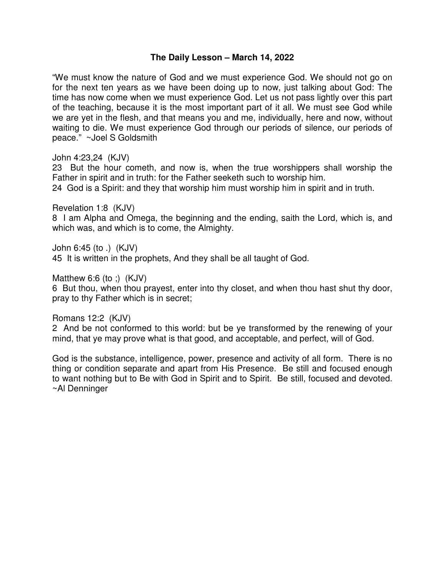## **The Daily Lesson – March 14, 2022**

"We must know the nature of God and we must experience God. We should not go on for the next ten years as we have been doing up to now, just talking about God: The time has now come when we must experience God. Let us not pass lightly over this part of the teaching, because it is the most important part of it all. We must see God while we are yet in the flesh, and that means you and me, individually, here and now, without waiting to die. We must experience God through our periods of silence, our periods of peace." ~Joel S Goldsmith

John 4:23,24 (KJV)

23 But the hour cometh, and now is, when the true worshippers shall worship the Father in spirit and in truth: for the Father seeketh such to worship him.

24 God is a Spirit: and they that worship him must worship him in spirit and in truth.

Revelation 1:8 (KJV)

8 I am Alpha and Omega, the beginning and the ending, saith the Lord, which is, and which was, and which is to come, the Almighty.

John 6:45 (to .) (KJV)

45 It is written in the prophets, And they shall be all taught of God.

Matthew 6:6 (to ;)  $(KJV)$ 

6 But thou, when thou prayest, enter into thy closet, and when thou hast shut thy door, pray to thy Father which is in secret;

Romans 12:2 (KJV)

2 And be not conformed to this world: but be ye transformed by the renewing of your mind, that ye may prove what is that good, and acceptable, and perfect, will of God.

God is the substance, intelligence, power, presence and activity of all form. There is no thing or condition separate and apart from His Presence. Be still and focused enough to want nothing but to Be with God in Spirit and to Spirit. Be still, focused and devoted. ~Al Denninger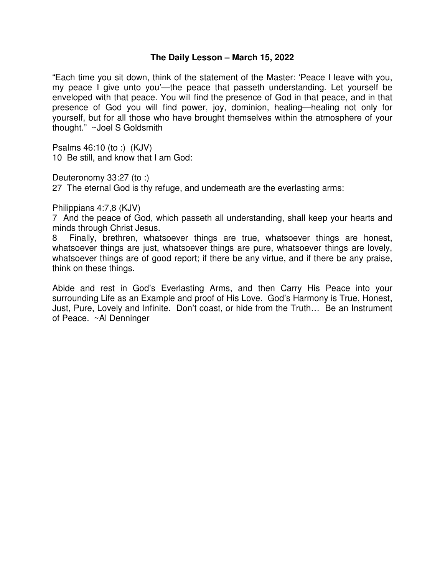#### **The Daily Lesson – March 15, 2022**

"Each time you sit down, think of the statement of the Master: 'Peace I leave with you, my peace I give unto you'—the peace that passeth understanding. Let yourself be enveloped with that peace. You will find the presence of God in that peace, and in that presence of God you will find power, joy, dominion, healing—healing not only for yourself, but for all those who have brought themselves within the atmosphere of your thought." ~Joel S Goldsmith

Psalms 46:10 (to :) (KJV) 10 Be still, and know that I am God:

Deuteronomy 33:27 (to :)

27 The eternal God is thy refuge, and underneath are the everlasting arms:

Philippians 4:7,8 (KJV)

7 And the peace of God, which passeth all understanding, shall keep your hearts and minds through Christ Jesus.

8 Finally, brethren, whatsoever things are true, whatsoever things are honest, whatsoever things are just, whatsoever things are pure, whatsoever things are lovely, whatsoever things are of good report; if there be any virtue, and if there be any praise, think on these things.

Abide and rest in God's Everlasting Arms, and then Carry His Peace into your surrounding Life as an Example and proof of His Love. God's Harmony is True, Honest, Just, Pure, Lovely and Infinite. Don't coast, or hide from the Truth… Be an Instrument of Peace. ~Al Denninger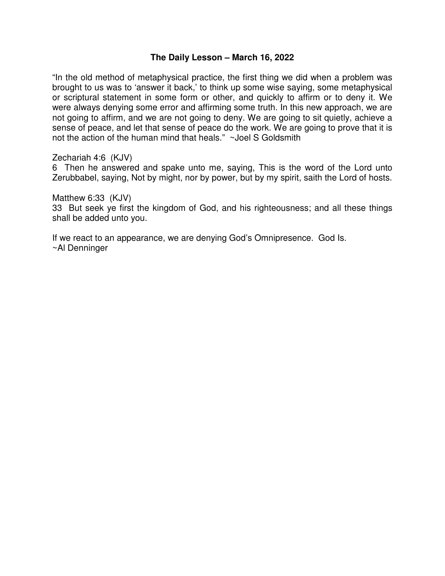#### **The Daily Lesson – March 16, 2022**

"In the old method of metaphysical practice, the first thing we did when a problem was brought to us was to 'answer it back,' to think up some wise saying, some metaphysical or scriptural statement in some form or other, and quickly to affirm or to deny it. We were always denying some error and affirming some truth. In this new approach, we are not going to affirm, and we are not going to deny. We are going to sit quietly, achieve a sense of peace, and let that sense of peace do the work. We are going to prove that it is not the action of the human mind that heals." ~Joel S Goldsmith

Zechariah 4:6 (KJV)

6 Then he answered and spake unto me, saying, This is the word of the Lord unto Zerubbabel, saying, Not by might, nor by power, but by my spirit, saith the Lord of hosts.

Matthew 6:33 (KJV) 33 But seek ye first the kingdom of God, and his righteousness; and all these things shall be added unto you.

If we react to an appearance, we are denying God's Omnipresence. God Is. ~Al Denninger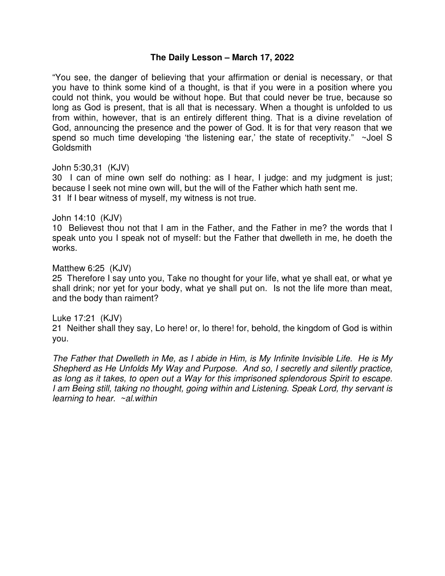#### **The Daily Lesson – March 17, 2022**

"You see, the danger of believing that your affirmation or denial is necessary, or that you have to think some kind of a thought, is that if you were in a position where you could not think, you would be without hope. But that could never be true, because so long as God is present, that is all that is necessary. When a thought is unfolded to us from within, however, that is an entirely different thing. That is a divine revelation of God, announcing the presence and the power of God. It is for that very reason that we spend so much time developing 'the listening ear,' the state of receptivity." ~Joel S **Goldsmith** 

John 5:30,31 (KJV)

30 I can of mine own self do nothing: as I hear, I judge: and my judgment is just; because I seek not mine own will, but the will of the Father which hath sent me. 31 If I bear witness of myself, my witness is not true.

#### John 14:10 (KJV)

10 Believest thou not that I am in the Father, and the Father in me? the words that I speak unto you I speak not of myself: but the Father that dwelleth in me, he doeth the works.

#### Matthew 6:25 (KJV)

25 Therefore I say unto you, Take no thought for your life, what ye shall eat, or what ye shall drink; nor yet for your body, what ye shall put on. Is not the life more than meat, and the body than raiment?

#### Luke 17:21 (KJV)

21 Neither shall they say, Lo here! or, lo there! for, behold, the kingdom of God is within you.

*The Father that Dwelleth in Me, as I abide in Him, is My Infinite Invisible Life. He is My Shepherd as He Unfolds My Way and Purpose. And so, I secretly and silently practice, as long as it takes, to open out a Way for this imprisoned splendorous Spirit to escape. I am Being still, taking no thought, going within and Listening. Speak Lord, thy servant is learning to hear. ~al.within*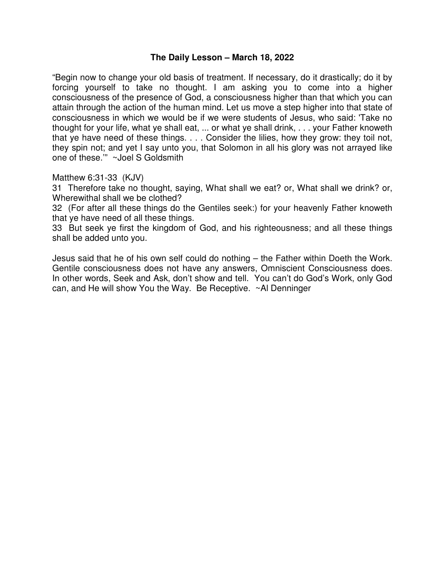#### **The Daily Lesson – March 18, 2022**

"Begin now to change your old basis of treatment. If necessary, do it drastically; do it by forcing yourself to take no thought. I am asking you to come into a higher consciousness of the presence of God, a consciousness higher than that which you can attain through the action of the human mind. Let us move a step higher into that state of consciousness in which we would be if we were students of Jesus, who said: 'Take no thought for your life, what ye shall eat, ... or what ye shall drink, . . . your Father knoweth that ye have need of these things. . . . Consider the lilies, how they grow: they toil not, they spin not; and yet I say unto you, that Solomon in all his glory was not arrayed like one of these.'" ~Joel S Goldsmith

Matthew 6:31-33 (KJV)

31 Therefore take no thought, saying, What shall we eat? or, What shall we drink? or, Wherewithal shall we be clothed?

32 (For after all these things do the Gentiles seek:) for your heavenly Father knoweth that ye have need of all these things.

33 But seek ye first the kingdom of God, and his righteousness; and all these things shall be added unto you.

Jesus said that he of his own self could do nothing – the Father within Doeth the Work. Gentile consciousness does not have any answers, Omniscient Consciousness does. In other words, Seek and Ask, don't show and tell. You can't do God's Work, only God can, and He will show You the Way. Be Receptive. ~Al Denninger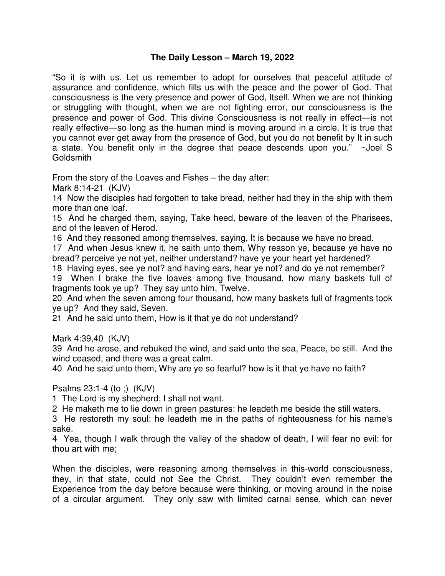# **The Daily Lesson – March 19, 2022**

"So it is with us. Let us remember to adopt for ourselves that peaceful attitude of assurance and confidence, which fills us with the peace and the power of God. That consciousness is the very presence and power of God, Itself. When we are not thinking or struggling with thought, when we are not fighting error, our consciousness is the presence and power of God. This divine Consciousness is not really in effect—is not really effective—so long as the human mind is moving around in a circle. It is true that you cannot ever get away from the presence of God, but you do not benefit by It in such a state. You benefit only in the degree that peace descends upon you." ~Joel S Goldsmith

From the story of the Loaves and Fishes – the day after:

Mark 8:14-21 (KJV)

14 Now the disciples had forgotten to take bread, neither had they in the ship with them more than one loaf.

15 And he charged them, saying, Take heed, beware of the leaven of the Pharisees, and of the leaven of Herod.

16 And they reasoned among themselves, saying, It is because we have no bread.

17 And when Jesus knew it, he saith unto them, Why reason ye, because ye have no bread? perceive ye not yet, neither understand? have ye your heart yet hardened?

18 Having eyes, see ye not? and having ears, hear ye not? and do ye not remember?

19 When I brake the five loaves among five thousand, how many baskets full of fragments took ye up? They say unto him, Twelve.

20 And when the seven among four thousand, how many baskets full of fragments took ye up? And they said, Seven.

21 And he said unto them, How is it that ye do not understand?

Mark 4:39,40 (KJV)

39 And he arose, and rebuked the wind, and said unto the sea, Peace, be still. And the wind ceased, and there was a great calm.

40 And he said unto them, Why are ye so fearful? how is it that ye have no faith?

## Psalms 23:1-4 (to ;) (KJV)

1 The Lord is my shepherd; I shall not want.

2 He maketh me to lie down in green pastures: he leadeth me beside the still waters.

3 He restoreth my soul: he leadeth me in the paths of righteousness for his name's sake.

4 Yea, though I walk through the valley of the shadow of death, I will fear no evil: for thou art with me;

When the disciples, were reasoning among themselves in this-world consciousness, they, in that state, could not See the Christ. They couldn't even remember the Experience from the day before because were thinking, or moving around in the noise of a circular argument. They only saw with limited carnal sense, which can never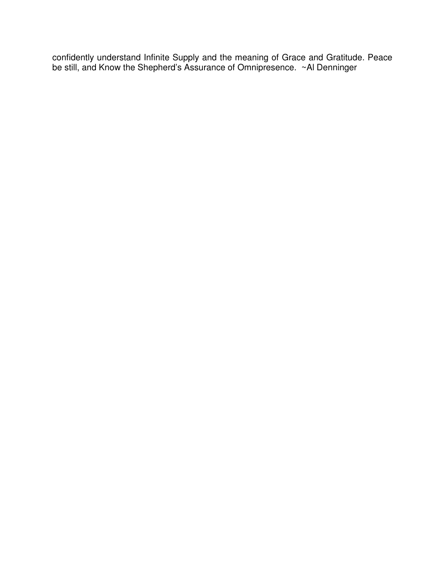confidently understand Infinite Supply and the meaning of Grace and Gratitude. Peace be still, and Know the Shepherd's Assurance of Omnipresence. ~Al Denninger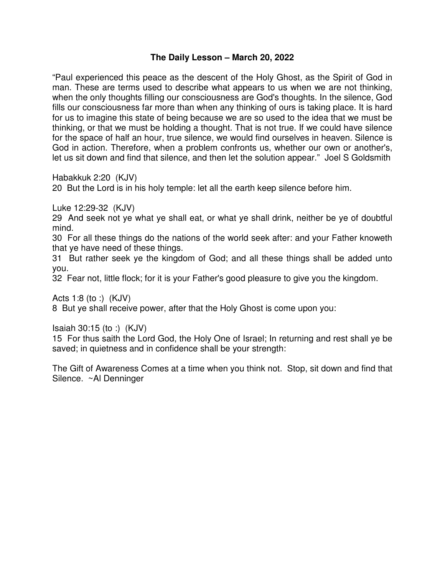# **The Daily Lesson – March 20, 2022**

"Paul experienced this peace as the descent of the Holy Ghost, as the Spirit of God in man. These are terms used to describe what appears to us when we are not thinking, when the only thoughts filling our consciousness are God's thoughts. In the silence, God fills our consciousness far more than when any thinking of ours is taking place. It is hard for us to imagine this state of being because we are so used to the idea that we must be thinking, or that we must be holding a thought. That is not true. If we could have silence for the space of half an hour, true silence, we would find ourselves in heaven. Silence is God in action. Therefore, when a problem confronts us, whether our own or another's, let us sit down and find that silence, and then let the solution appear." Joel S Goldsmith

Habakkuk 2:20 (KJV)

20 But the Lord is in his holy temple: let all the earth keep silence before him.

Luke 12:29-32 (KJV)

29 And seek not ye what ye shall eat, or what ye shall drink, neither be ye of doubtful mind.

30 For all these things do the nations of the world seek after: and your Father knoweth that ye have need of these things.

31 But rather seek ye the kingdom of God; and all these things shall be added unto you.

32 Fear not, little flock; for it is your Father's good pleasure to give you the kingdom.

Acts 1:8 (to :) (KJV) 8 But ye shall receive power, after that the Holy Ghost is come upon you:

Isaiah 30:15 (to :) (KJV)

15 For thus saith the Lord God, the Holy One of Israel; In returning and rest shall ye be saved; in quietness and in confidence shall be your strength:

The Gift of Awareness Comes at a time when you think not. Stop, sit down and find that Silence. ~Al Denninger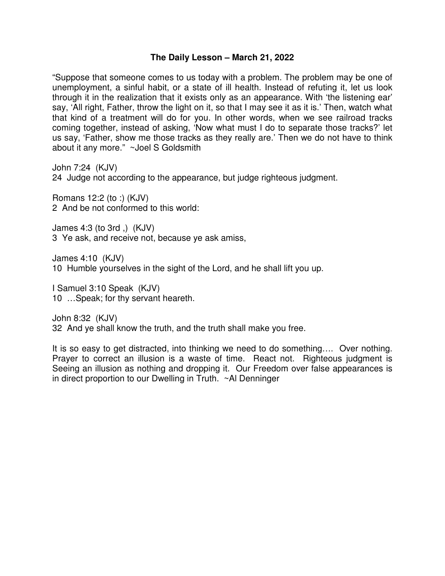### **The Daily Lesson – March 21, 2022**

"Suppose that someone comes to us today with a problem. The problem may be one of unemployment, a sinful habit, or a state of ill health. Instead of refuting it, let us look through it in the realization that it exists only as an appearance. With 'the listening ear' say, 'All right, Father, throw the light on it, so that I may see it as it is.' Then, watch what that kind of a treatment will do for you. In other words, when we see railroad tracks coming together, instead of asking, 'Now what must I do to separate those tracks?' let us say, 'Father, show me those tracks as they really are.' Then we do not have to think about it any more." ~Joel S Goldsmith

John 7:24 (KJV)

24 Judge not according to the appearance, but judge righteous judgment.

Romans 12:2 (to :) (KJV) 2 And be not conformed to this world:

James 4:3 (to 3rd ,) (KJV) 3 Ye ask, and receive not, because ye ask amiss,

James 4:10 (KJV)

10 Humble yourselves in the sight of the Lord, and he shall lift you up.

I Samuel 3:10 Speak (KJV) 10 …Speak; for thy servant heareth.

John 8:32 (KJV) 32 And ye shall know the truth, and the truth shall make you free.

It is so easy to get distracted, into thinking we need to do something…. Over nothing. Prayer to correct an illusion is a waste of time. React not. Righteous judgment is Seeing an illusion as nothing and dropping it. Our Freedom over false appearances is in direct proportion to our Dwelling in Truth. ~Al Denninger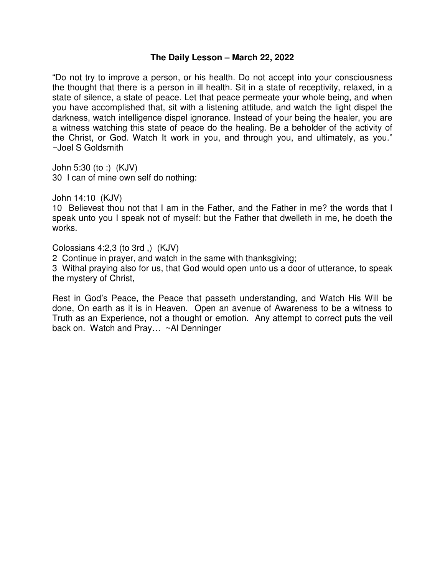#### **The Daily Lesson – March 22, 2022**

"Do not try to improve a person, or his health. Do not accept into your consciousness the thought that there is a person in ill health. Sit in a state of receptivity, relaxed, in a state of silence, a state of peace. Let that peace permeate your whole being, and when you have accomplished that, sit with a listening attitude, and watch the light dispel the darkness, watch intelligence dispel ignorance. Instead of your being the healer, you are a witness watching this state of peace do the healing. Be a beholder of the activity of the Christ, or God. Watch It work in you, and through you, and ultimately, as you." ~Joel S Goldsmith

John 5:30 (to :) (KJV) 30 I can of mine own self do nothing:

John 14:10 (KJV)

10 Believest thou not that I am in the Father, and the Father in me? the words that I speak unto you I speak not of myself: but the Father that dwelleth in me, he doeth the works.

Colossians 4:2,3 (to 3rd ,) (KJV)

2 Continue in prayer, and watch in the same with thanksgiving;

3 Withal praying also for us, that God would open unto us a door of utterance, to speak the mystery of Christ,

Rest in God's Peace, the Peace that passeth understanding, and Watch His Will be done, On earth as it is in Heaven. Open an avenue of Awareness to be a witness to Truth as an Experience, not a thought or emotion. Any attempt to correct puts the veil back on. Watch and Pray... ~Al Denninger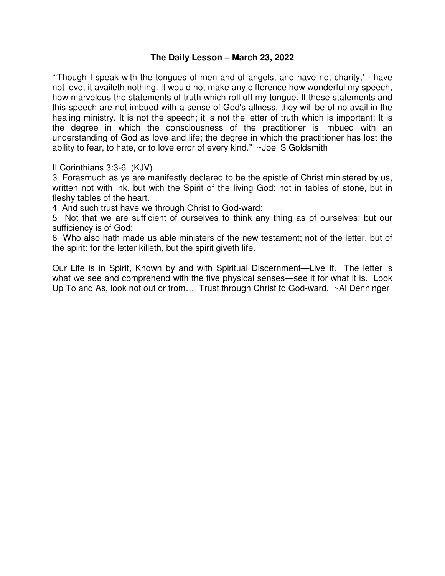## **The Daily Lesson – March 23, 2022**

"'Though I speak with the tongues of men and of angels, and have not charity,' - have not love, it availeth nothing. It would not make any difference how wonderful my speech, how marvelous the statements of truth which roll off my tongue. If these statements and this speech are not imbued with a sense of God's allness, they will be of no avail in the healing ministry. It is not the speech; it is not the letter of truth which is important: It is the degree in which the consciousness of the practitioner is imbued with an understanding of God as love and life; the degree in which the practitioner has lost the ability to fear, to hate, or to love error of every kind." ~Joel S Goldsmith

II Corinthians 3:3-6 (KJV)

3 Forasmuch as ye are manifestly declared to be the epistle of Christ ministered by us, written not with ink, but with the Spirit of the living God; not in tables of stone, but in fleshy tables of the heart.

4 And such trust have we through Christ to God-ward:

5 Not that we are sufficient of ourselves to think any thing as of ourselves; but our sufficiency is of God;

6 Who also hath made us able ministers of the new testament; not of the letter, but of the spirit: for the letter killeth, but the spirit giveth life.

Our Life is in Spirit, Known by and with Spiritual Discernment—Live It. The letter is what we see and comprehend with the five physical senses—see it for what it is. Look Up To and As, look not out or from... Trust through Christ to God-ward. ~Al Denninger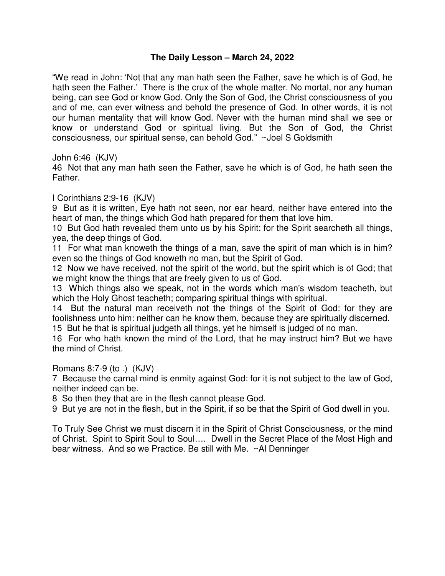# **The Daily Lesson – March 24, 2022**

"We read in John: 'Not that any man hath seen the Father, save he which is of God, he hath seen the Father.' There is the crux of the whole matter. No mortal, nor any human being, can see God or know God. Only the Son of God, the Christ consciousness of you and of me, can ever witness and behold the presence of God. In other words, it is not our human mentality that will know God. Never with the human mind shall we see or know or understand God or spiritual living. But the Son of God, the Christ consciousness, our spiritual sense, can behold God." ~Joel S Goldsmith

John 6:46 (KJV)

46 Not that any man hath seen the Father, save he which is of God, he hath seen the Father.

I Corinthians 2:9-16 (KJV)

9 But as it is written, Eye hath not seen, nor ear heard, neither have entered into the heart of man, the things which God hath prepared for them that love him.

10 But God hath revealed them unto us by his Spirit: for the Spirit searcheth all things, yea, the deep things of God.

11 For what man knoweth the things of a man, save the spirit of man which is in him? even so the things of God knoweth no man, but the Spirit of God.

12 Now we have received, not the spirit of the world, but the spirit which is of God; that we might know the things that are freely given to us of God.

13 Which things also we speak, not in the words which man's wisdom teacheth, but which the Holy Ghost teacheth; comparing spiritual things with spiritual.

14 But the natural man receiveth not the things of the Spirit of God: for they are foolishness unto him: neither can he know them, because they are spiritually discerned.

15 But he that is spiritual judgeth all things, yet he himself is judged of no man.

16 For who hath known the mind of the Lord, that he may instruct him? But we have the mind of Christ.

Romans 8:7-9 (to .) (KJV)

7 Because the carnal mind is enmity against God: for it is not subject to the law of God, neither indeed can be.

8 So then they that are in the flesh cannot please God.

9 But ye are not in the flesh, but in the Spirit, if so be that the Spirit of God dwell in you.

To Truly See Christ we must discern it in the Spirit of Christ Consciousness, or the mind of Christ. Spirit to Spirit Soul to Soul…. Dwell in the Secret Place of the Most High and bear witness. And so we Practice. Be still with Me. ~Al Denninger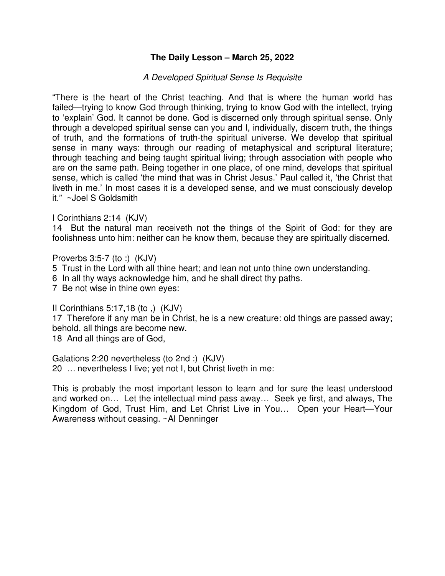# **The Daily Lesson – March 25, 2022**

# *A Developed Spiritual Sense Is Requisite*

"There is the heart of the Christ teaching. And that is where the human world has failed—trying to know God through thinking, trying to know God with the intellect, trying to 'explain' God. It cannot be done. God is discerned only through spiritual sense. Only through a developed spiritual sense can you and I, individually, discern truth, the things of truth, and the formations of truth-the spiritual universe. We develop that spiritual sense in many ways: through our reading of metaphysical and scriptural literature; through teaching and being taught spiritual living; through association with people who are on the same path. Being together in one place, of one mind, develops that spiritual sense, which is called 'the mind that was in Christ Jesus.' Paul called it, 'the Christ that liveth in me.' In most cases it is a developed sense, and we must consciously develop it." ~Joel S Goldsmith

I Corinthians 2:14 (KJV)

14 But the natural man receiveth not the things of the Spirit of God: for they are foolishness unto him: neither can he know them, because they are spiritually discerned.

Proverbs 3:5-7 (to :) (KJV)

5 Trust in the Lord with all thine heart; and lean not unto thine own understanding.

6 In all thy ways acknowledge him, and he shall direct thy paths.

7 Be not wise in thine own eyes:

II Corinthians 5:17,18 (to ,) (KJV)

17 Therefore if any man be in Christ, he is a new creature: old things are passed away; behold, all things are become new.

18 And all things are of God,

Galations 2:20 nevertheless (to 2nd :) (KJV) 20 … nevertheless I live; yet not I, but Christ liveth in me:

This is probably the most important lesson to learn and for sure the least understood and worked on… Let the intellectual mind pass away… Seek ye first, and always, The Kingdom of God, Trust Him, and Let Christ Live in You… Open your Heart—Your Awareness without ceasing. ~Al Denninger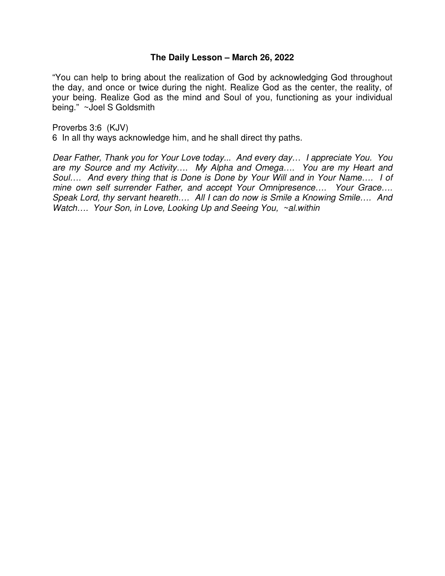#### **The Daily Lesson – March 26, 2022**

"You can help to bring about the realization of God by acknowledging God throughout the day, and once or twice during the night. Realize God as the center, the reality, of your being. Realize God as the mind and Soul of you, functioning as your individual being." ~Joel S Goldsmith

Proverbs 3:6 (KJV) 6 In all thy ways acknowledge him, and he shall direct thy paths.

*Dear Father, Thank you for Your Love today... And every day… I appreciate You. You are my Source and my Activity…. My Alpha and Omega…. You are my Heart and Soul…. And every thing that is Done is Done by Your Will and in Your Name…. I of mine own self surrender Father, and accept Your Omnipresence…. Your Grace…. Speak Lord, thy servant heareth…. All I can do now is Smile a Knowing Smile…. And Watch…. Your Son, in Love, Looking Up and Seeing You, ~al.within*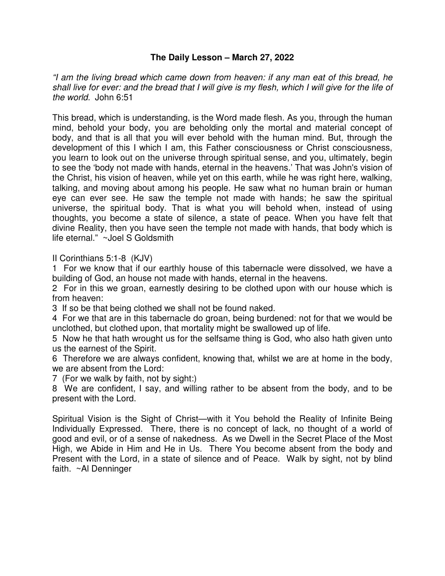# **The Daily Lesson – March 27, 2022**

*"I am the living bread which came down from heaven: if any man eat of this bread, he shall live for ever: and the bread that I will give is my flesh, which I will give for the life of the world.* John 6:51

This bread, which is understanding, is the Word made flesh. As you, through the human mind, behold your body, you are beholding only the mortal and material concept of body, and that is all that you will ever behold with the human mind. But, through the development of this I which I am, this Father consciousness or Christ consciousness, you learn to look out on the universe through spiritual sense, and you, ultimately, begin to see the 'body not made with hands, eternal in the heavens.' That was John's vision of the Christ, his vision of heaven, while yet on this earth, while he was right here, walking, talking, and moving about among his people. He saw what no human brain or human eye can ever see. He saw the temple not made with hands; he saw the spiritual universe, the spiritual body. That is what you will behold when, instead of using thoughts, you become a state of silence, a state of peace. When you have felt that divine Reality, then you have seen the temple not made with hands, that body which is life eternal." ~Joel S Goldsmith

II Corinthians 5:1-8 (KJV)

1 For we know that if our earthly house of this tabernacle were dissolved, we have a building of God, an house not made with hands, eternal in the heavens.

2 For in this we groan, earnestly desiring to be clothed upon with our house which is from heaven:

3 If so be that being clothed we shall not be found naked.

4 For we that are in this tabernacle do groan, being burdened: not for that we would be unclothed, but clothed upon, that mortality might be swallowed up of life.

5 Now he that hath wrought us for the selfsame thing is God, who also hath given unto us the earnest of the Spirit.

6 Therefore we are always confident, knowing that, whilst we are at home in the body, we are absent from the Lord:

7 (For we walk by faith, not by sight:)

8 We are confident, I say, and willing rather to be absent from the body, and to be present with the Lord.

Spiritual Vision is the Sight of Christ—with it You behold the Reality of Infinite Being Individually Expressed. There, there is no concept of lack, no thought of a world of good and evil, or of a sense of nakedness. As we Dwell in the Secret Place of the Most High, we Abide in Him and He in Us. There You become absent from the body and Present with the Lord, in a state of silence and of Peace. Walk by sight, not by blind faith. ~Al Denninger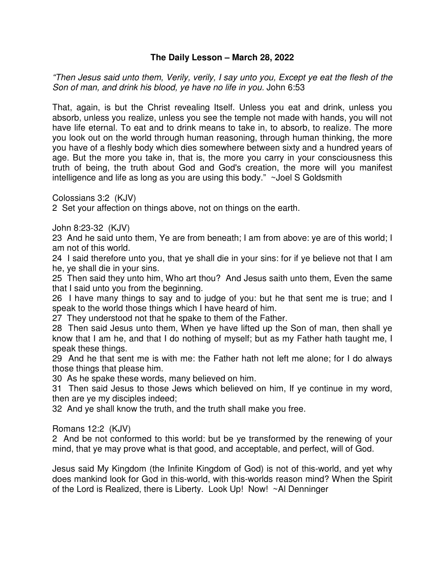# **The Daily Lesson – March 28, 2022**

*"Then Jesus said unto them, Verily, verily, I say unto you, Except ye eat the flesh of the Son of man, and drink his blood, ye have no life in you.* John 6:53

That, again, is but the Christ revealing Itself. Unless you eat and drink, unless you absorb, unless you realize, unless you see the temple not made with hands, you will not have life eternal. To eat and to drink means to take in, to absorb, to realize. The more you look out on the world through human reasoning, through human thinking, the more you have of a fleshly body which dies somewhere between sixty and a hundred years of age. But the more you take in, that is, the more you carry in your consciousness this truth of being, the truth about God and God's creation, the more will you manifest intelligence and life as long as you are using this body." ~Joel S Goldsmith

Colossians 3:2 (KJV)

2 Set your affection on things above, not on things on the earth.

John 8:23-32 (KJV)

23 And he said unto them, Ye are from beneath; I am from above: ye are of this world; I am not of this world.

24 I said therefore unto you, that ye shall die in your sins: for if ye believe not that I am he, ye shall die in your sins.

25 Then said they unto him, Who art thou? And Jesus saith unto them, Even the same that I said unto you from the beginning.

26 I have many things to say and to judge of you: but he that sent me is true; and I speak to the world those things which I have heard of him.

27 They understood not that he spake to them of the Father.

28 Then said Jesus unto them, When ye have lifted up the Son of man, then shall ye know that I am he, and that I do nothing of myself; but as my Father hath taught me, I speak these things.

29 And he that sent me is with me: the Father hath not left me alone; for I do always those things that please him.

30 As he spake these words, many believed on him.

31 Then said Jesus to those Jews which believed on him, If ye continue in my word, then are ye my disciples indeed;

32 And ye shall know the truth, and the truth shall make you free.

Romans 12:2 (KJV)

2 And be not conformed to this world: but be ye transformed by the renewing of your mind, that ye may prove what is that good, and acceptable, and perfect, will of God.

Jesus said My Kingdom (the Infinite Kingdom of God) is not of this-world, and yet why does mankind look for God in this-world, with this-worlds reason mind? When the Spirit of the Lord is Realized, there is Liberty. Look Up! Now! ~Al Denninger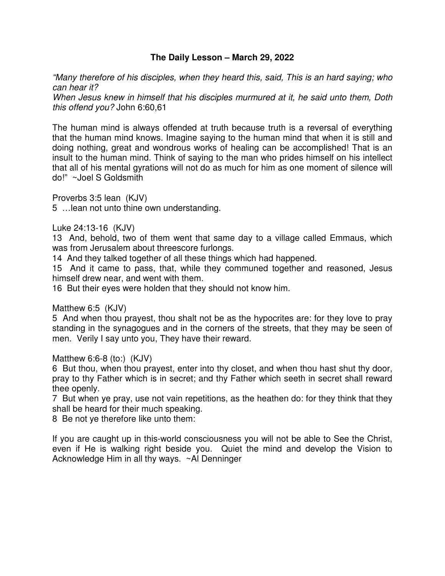### **The Daily Lesson – March 29, 2022**

*"Many therefore of his disciples, when they heard this, said, This is an hard saying; who can hear it?* 

*When Jesus knew in himself that his disciples murmured at it, he said unto them, Doth this offend you?* John 6:60,61

The human mind is always offended at truth because truth is a reversal of everything that the human mind knows. Imagine saying to the human mind that when it is still and doing nothing, great and wondrous works of healing can be accomplished! That is an insult to the human mind. Think of saying to the man who prides himself on his intellect that all of his mental gyrations will not do as much for him as one moment of silence will do!" ~Joel S Goldsmith

Proverbs 3:5 lean (KJV)

5 …lean not unto thine own understanding.

Luke 24:13-16 (KJV)

13 And, behold, two of them went that same day to a village called Emmaus, which was from Jerusalem about threescore furlongs.

14 And they talked together of all these things which had happened.

15 And it came to pass, that, while they communed together and reasoned, Jesus himself drew near, and went with them.

16 But their eyes were holden that they should not know him.

Matthew 6:5 (KJV)

5 And when thou prayest, thou shalt not be as the hypocrites are: for they love to pray standing in the synagogues and in the corners of the streets, that they may be seen of men. Verily I say unto you, They have their reward.

Matthew 6:6-8 (to:) (KJV)

6 But thou, when thou prayest, enter into thy closet, and when thou hast shut thy door, pray to thy Father which is in secret; and thy Father which seeth in secret shall reward thee openly.

7 But when ye pray, use not vain repetitions, as the heathen do: for they think that they shall be heard for their much speaking.

8 Be not ye therefore like unto them:

If you are caught up in this-world consciousness you will not be able to See the Christ, even if He is walking right beside you. Quiet the mind and develop the Vision to Acknowledge Him in all thy ways. ~Al Denninger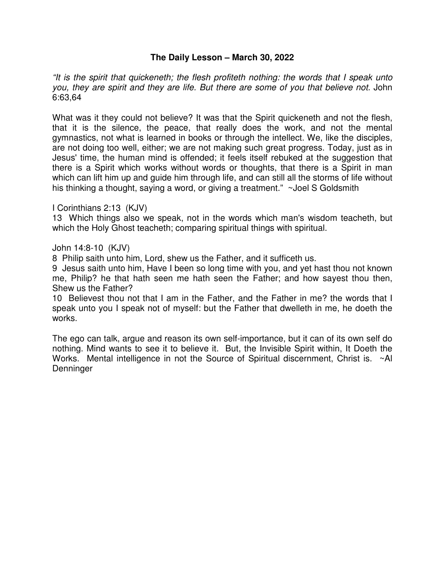# **The Daily Lesson – March 30, 2022**

*"It is the spirit that quickeneth; the flesh profiteth nothing: the words that I speak unto you, they are spirit and they are life. But there are some of you that believe not.* John 6:63,64

What was it they could not believe? It was that the Spirit quickeneth and not the flesh, that it is the silence, the peace, that really does the work, and not the mental gymnastics, not what is learned in books or through the intellect. We, like the disciples, are not doing too well, either; we are not making such great progress. Today, just as in Jesus' time, the human mind is offended; it feels itself rebuked at the suggestion that there is a Spirit which works without words or thoughts, that there is a Spirit in man which can lift him up and guide him through life, and can still all the storms of life without his thinking a thought, saying a word, or giving a treatment." ~Joel S Goldsmith

I Corinthians 2:13 (KJV)

13 Which things also we speak, not in the words which man's wisdom teacheth, but which the Holy Ghost teacheth; comparing spiritual things with spiritual.

John 14:8-10 (KJV)

8 Philip saith unto him, Lord, shew us the Father, and it sufficeth us.

9 Jesus saith unto him, Have I been so long time with you, and yet hast thou not known me, Philip? he that hath seen me hath seen the Father; and how sayest thou then, Shew us the Father?

10 Believest thou not that I am in the Father, and the Father in me? the words that I speak unto you I speak not of myself: but the Father that dwelleth in me, he doeth the works.

The ego can talk, argue and reason its own self-importance, but it can of its own self do nothing. Mind wants to see it to believe it. But, the Invisible Spirit within, It Doeth the Works. Mental intelligence in not the Source of Spiritual discernment, Christ is. ~Al **Denninger**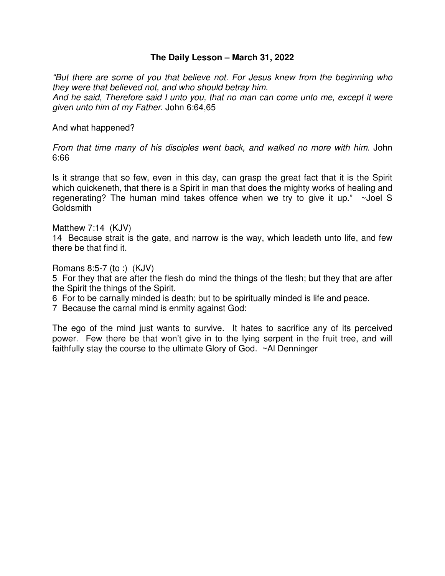#### **The Daily Lesson – March 31, 2022**

*"But there are some of you that believe not. For Jesus knew from the beginning who they were that believed not, and who should betray him. And he said, Therefore said I unto you, that no man can come unto me, except it were given unto him of my Father*. John 6:64,65

And what happened?

*From that time many of his disciples went back, and walked no more with him*. John 6:66

Is it strange that so few, even in this day, can grasp the great fact that it is the Spirit which quickeneth, that there is a Spirit in man that does the mighty works of healing and regenerating? The human mind takes offence when we try to give it up." ~Joel S Goldsmith

Matthew 7:14 (KJV)

14 Because strait is the gate, and narrow is the way, which leadeth unto life, and few there be that find it.

Romans 8:5-7 (to :) (KJV)

5 For they that are after the flesh do mind the things of the flesh; but they that are after the Spirit the things of the Spirit.

- 6 For to be carnally minded is death; but to be spiritually minded is life and peace.
- 7 Because the carnal mind is enmity against God:

The ego of the mind just wants to survive. It hates to sacrifice any of its perceived power. Few there be that won't give in to the lying serpent in the fruit tree, and will faithfully stay the course to the ultimate Glory of God. ~Al Denninger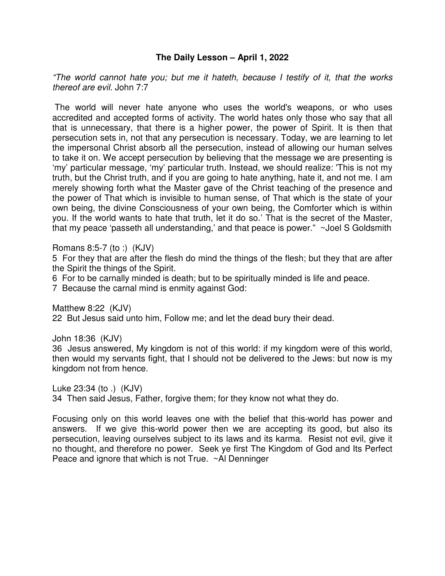# **The Daily Lesson – April 1, 2022**

*"The world cannot hate you; but me it hateth, because I testify of it, that the works thereof are evil.* John 7:7

 The world will never hate anyone who uses the world's weapons, or who uses accredited and accepted forms of activity. The world hates only those who say that all that is unnecessary, that there is a higher power, the power of Spirit. It is then that persecution sets in, not that any persecution is necessary. Today, we are learning to let the impersonal Christ absorb all the persecution, instead of allowing our human selves to take it on. We accept persecution by believing that the message we are presenting is 'my' particular message, 'my' particular truth. Instead, we should realize: 'This is not my truth, but the Christ truth, and if you are going to hate anything, hate it, and not me. I am merely showing forth what the Master gave of the Christ teaching of the presence and the power of That which is invisible to human sense, of That which is the state of your own being, the divine Consciousness of your own being, the Comforter which is within you. If the world wants to hate that truth, let it do so.' That is the secret of the Master, that my peace 'passeth all understanding,' and that peace is power." ~Joel S Goldsmith

Romans 8:5-7 (to :) (KJV)

5 For they that are after the flesh do mind the things of the flesh; but they that are after the Spirit the things of the Spirit.

6 For to be carnally minded is death; but to be spiritually minded is life and peace.

7 Because the carnal mind is enmity against God:

Matthew 8:22 (KJV) 22 But Jesus said unto him, Follow me; and let the dead bury their dead.

John 18:36 (KJV)

36 Jesus answered, My kingdom is not of this world: if my kingdom were of this world, then would my servants fight, that I should not be delivered to the Jews: but now is my kingdom not from hence.

Luke 23:34 (to .) (KJV)

34 Then said Jesus, Father, forgive them; for they know not what they do.

Focusing only on this world leaves one with the belief that this-world has power and answers. If we give this-world power then we are accepting its good, but also its persecution, leaving ourselves subject to its laws and its karma. Resist not evil, give it no thought, and therefore no power. Seek ye first The Kingdom of God and Its Perfect Peace and ignore that which is not True. ~Al Denninger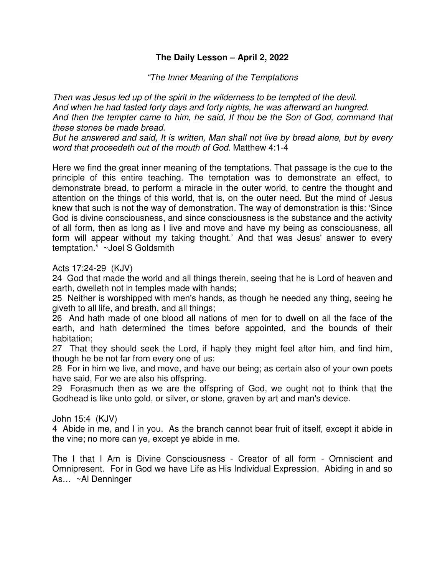# **The Daily Lesson – April 2, 2022**

*"The Inner Meaning of the Temptations* 

*Then was Jesus led up of the spirit in the wilderness to be tempted of the devil. And when he had fasted forty days and forty nights, he was afterward an hungred. And then the tempter came to him, he said, If thou be the Son of God, command that these stones be made bread.* 

*But he answered and said, It is written, Man shall not live by bread alone, but by every word that proceedeth out of the mouth of God*. Matthew 4:1-4

Here we find the great inner meaning of the temptations. That passage is the cue to the principle of this entire teaching. The temptation was to demonstrate an effect, to demonstrate bread, to perform a miracle in the outer world, to centre the thought and attention on the things of this world, that is, on the outer need. But the mind of Jesus knew that such is not the way of demonstration. The way of demonstration is this: 'Since God is divine consciousness, and since consciousness is the substance and the activity of all form, then as long as I live and move and have my being as consciousness, all form will appear without my taking thought.' And that was Jesus' answer to every temptation." ~Joel S Goldsmith

Acts 17:24-29 (KJV)

24 God that made the world and all things therein, seeing that he is Lord of heaven and earth, dwelleth not in temples made with hands;

25 Neither is worshipped with men's hands, as though he needed any thing, seeing he giveth to all life, and breath, and all things;

26 And hath made of one blood all nations of men for to dwell on all the face of the earth, and hath determined the times before appointed, and the bounds of their habitation;

27 That they should seek the Lord, if haply they might feel after him, and find him, though he be not far from every one of us:

28 For in him we live, and move, and have our being; as certain also of your own poets have said, For we are also his offspring.

29 Forasmuch then as we are the offspring of God, we ought not to think that the Godhead is like unto gold, or silver, or stone, graven by art and man's device.

#### John 15:4 (KJV)

4 Abide in me, and I in you. As the branch cannot bear fruit of itself, except it abide in the vine; no more can ye, except ye abide in me.

The I that I Am is Divine Consciousness - Creator of all form - Omniscient and Omnipresent. For in God we have Life as His Individual Expression. Abiding in and so As… ~Al Denninger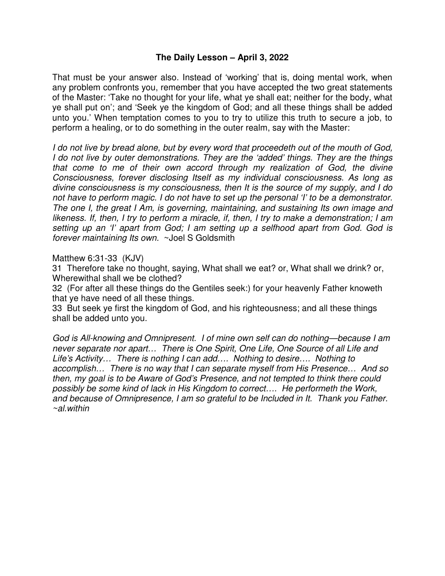## **The Daily Lesson – April 3, 2022**

That must be your answer also. Instead of 'working' that is, doing mental work, when any problem confronts you, remember that you have accepted the two great statements of the Master: 'Take no thought for your life, what ye shall eat; neither for the body, what ye shall put on'; and 'Seek ye the kingdom of God; and all these things shall be added unto you.' When temptation comes to you to try to utilize this truth to secure a job, to perform a healing, or to do something in the outer realm, say with the Master:

*I do not live by bread alone, but by every word that proceedeth out of the mouth of God, I do not live by outer demonstrations. They are the 'added' things. They are the things that come to me of their own accord through my realization of God, the divine Consciousness, forever disclosing Itself as my individual consciousness. As long as divine consciousness is my consciousness, then It is the source of my supply, and I do not have to perform magic. I do not have to set up the personal 'I' to be a demonstrator. The one I, the great I Am, is governing, maintaining, and sustaining Its own image and likeness. If, then, I try to perform a miracle, if, then, I try to make a demonstration; I am setting up an 'I' apart from God; I am setting up a selfhood apart from God. God is forever maintaining Its own.* ~Joel S Goldsmith

Matthew 6:31-33 (KJV)

31 Therefore take no thought, saying, What shall we eat? or, What shall we drink? or, Wherewithal shall we be clothed?

32 (For after all these things do the Gentiles seek:) for your heavenly Father knoweth that ye have need of all these things.

33 But seek ye first the kingdom of God, and his righteousness; and all these things shall be added unto you.

*God is All-knowing and Omnipresent. I of mine own self can do nothing—because I am never separate nor apart… There is One Spirit, One Life, One Source of all Life and Life's Activity… There is nothing I can add…. Nothing to desire…. Nothing to accomplish… There is no way that I can separate myself from His Presence… And so then, my goal is to be Aware of God's Presence, and not tempted to think there could possibly be some kind of lack in His Kingdom to correct…. He performeth the Work, and because of Omnipresence, I am so grateful to be Included in It. Thank you Father. ~al.within*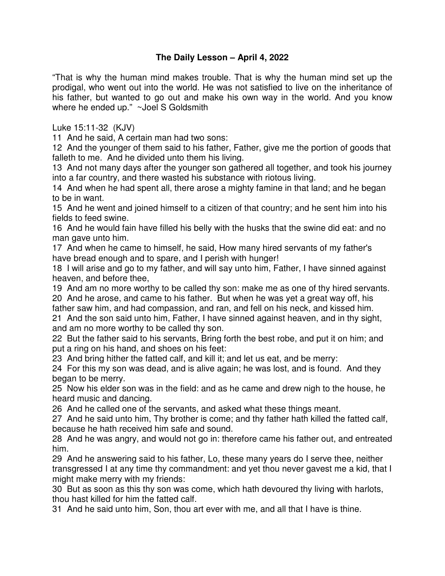# **The Daily Lesson – April 4, 2022**

"That is why the human mind makes trouble. That is why the human mind set up the prodigal, who went out into the world. He was not satisfied to live on the inheritance of his father, but wanted to go out and make his own way in the world. And you know where he ended up." ~Joel S Goldsmith

Luke 15:11-32 (KJV)

11 And he said, A certain man had two sons:

12 And the younger of them said to his father, Father, give me the portion of goods that falleth to me. And he divided unto them his living.

13 And not many days after the younger son gathered all together, and took his journey into a far country, and there wasted his substance with riotous living.

14 And when he had spent all, there arose a mighty famine in that land; and he began to be in want.

15 And he went and joined himself to a citizen of that country; and he sent him into his fields to feed swine.

16 And he would fain have filled his belly with the husks that the swine did eat: and no man gave unto him.

17 And when he came to himself, he said, How many hired servants of my father's have bread enough and to spare, and I perish with hunger!

18 I will arise and go to my father, and will say unto him, Father, I have sinned against heaven, and before thee,

19 And am no more worthy to be called thy son: make me as one of thy hired servants. 20 And he arose, and came to his father. But when he was yet a great way off, his

father saw him, and had compassion, and ran, and fell on his neck, and kissed him. 21 And the son said unto him, Father, I have sinned against heaven, and in thy sight, and am no more worthy to be called thy son.

22 But the father said to his servants, Bring forth the best robe, and put it on him; and put a ring on his hand, and shoes on his feet:

23 And bring hither the fatted calf, and kill it; and let us eat, and be merry:

24 For this my son was dead, and is alive again; he was lost, and is found. And they began to be merry.

25 Now his elder son was in the field: and as he came and drew nigh to the house, he heard music and dancing.

26 And he called one of the servants, and asked what these things meant.

27 And he said unto him, Thy brother is come; and thy father hath killed the fatted calf, because he hath received him safe and sound.

28 And he was angry, and would not go in: therefore came his father out, and entreated him.

29 And he answering said to his father, Lo, these many years do I serve thee, neither transgressed I at any time thy commandment: and yet thou never gavest me a kid, that I might make merry with my friends:

30 But as soon as this thy son was come, which hath devoured thy living with harlots, thou hast killed for him the fatted calf.

31 And he said unto him, Son, thou art ever with me, and all that I have is thine.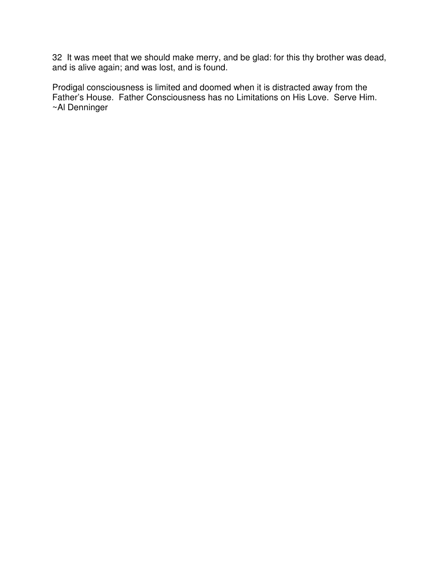32 It was meet that we should make merry, and be glad: for this thy brother was dead, and is alive again; and was lost, and is found.

Prodigal consciousness is limited and doomed when it is distracted away from the Father's House. Father Consciousness has no Limitations on His Love. Serve Him. ~Al Denninger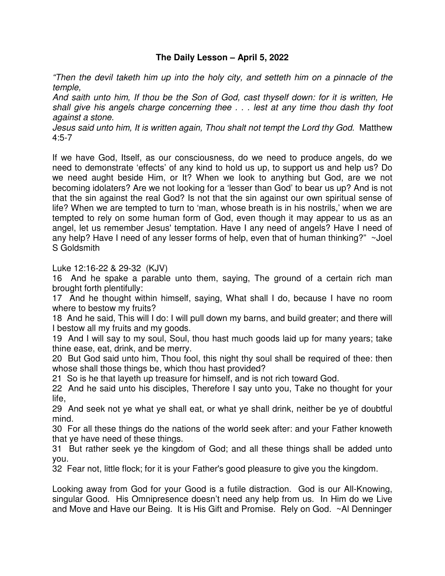# **The Daily Lesson – April 5, 2022**

*"Then the devil taketh him up into the holy city, and setteth him on a pinnacle of the temple,* 

*And saith unto him, If thou be the Son of God, cast thyself down: for it is written, He shall give his angels charge concerning thee . . . lest at any time thou dash thy foot against a stone.* 

*Jesus said unto him, It is written again, Thou shalt not tempt the Lord thy God.* Matthew 4:5-7

If we have God, Itself, as our consciousness, do we need to produce angels, do we need to demonstrate 'effects' of any kind to hold us up, to support us and help us? Do we need aught beside Him, or It? When we look to anything but God, are we not becoming idolaters? Are we not looking for a 'lesser than God' to bear us up? And is not that the sin against the real God? Is not that the sin against our own spiritual sense of life? When we are tempted to turn to 'man, whose breath is in his nostrils,' when we are tempted to rely on some human form of God, even though it may appear to us as an angel, let us remember Jesus' temptation. Have I any need of angels? Have I need of any help? Have I need of any lesser forms of help, even that of human thinking?" ~Joel S Goldsmith

Luke 12:16-22 & 29-32 (KJV)

16 And he spake a parable unto them, saying, The ground of a certain rich man brought forth plentifully:

17 And he thought within himself, saying, What shall I do, because I have no room where to bestow my fruits?

18 And he said, This will I do: I will pull down my barns, and build greater; and there will I bestow all my fruits and my goods.

19 And I will say to my soul, Soul, thou hast much goods laid up for many years; take thine ease, eat, drink, and be merry.

20 But God said unto him, Thou fool, this night thy soul shall be required of thee: then whose shall those things be, which thou hast provided?

21 So is he that layeth up treasure for himself, and is not rich toward God.

22 And he said unto his disciples, Therefore I say unto you, Take no thought for your life,

29 And seek not ye what ye shall eat, or what ye shall drink, neither be ye of doubtful mind.

30 For all these things do the nations of the world seek after: and your Father knoweth that ye have need of these things.

31 But rather seek ye the kingdom of God; and all these things shall be added unto you.

32 Fear not, little flock; for it is your Father's good pleasure to give you the kingdom.

Looking away from God for your Good is a futile distraction. God is our All-Knowing, singular Good. His Omnipresence doesn't need any help from us. In Him do we Live and Move and Have our Being. It is His Gift and Promise. Rely on God. ~Al Denninger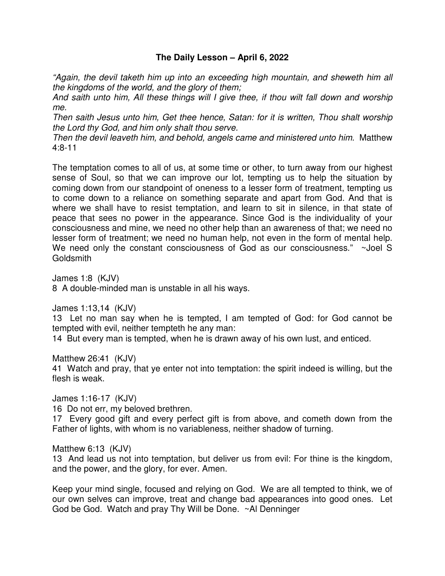# **The Daily Lesson – April 6, 2022**

*"Again, the devil taketh him up into an exceeding high mountain, and sheweth him all the kingdoms of the world, and the glory of them;* 

*And saith unto him, All these things will I give thee, if thou wilt fall down and worship me.* 

*Then saith Jesus unto him, Get thee hence, Satan: for it is written, Thou shalt worship the Lord thy God, and him only shalt thou serve.* 

*Then the devil leaveth him, and behold, angels came and ministered unto him.* Matthew 4:8-11

The temptation comes to all of us, at some time or other, to turn away from our highest sense of Soul, so that we can improve our lot, tempting us to help the situation by coming down from our standpoint of oneness to a lesser form of treatment, tempting us to come down to a reliance on something separate and apart from God. And that is where we shall have to resist temptation, and learn to sit in silence, in that state of peace that sees no power in the appearance. Since God is the individuality of your consciousness and mine, we need no other help than an awareness of that; we need no lesser form of treatment; we need no human help, not even in the form of mental help. We need only the constant consciousness of God as our consciousness." ~Joel S **Goldsmith** 

James 1:8 (KJV)

8 A double-minded man is unstable in all his ways.

James 1:13,14 (KJV)

13 Let no man say when he is tempted, I am tempted of God: for God cannot be tempted with evil, neither tempteth he any man:

14 But every man is tempted, when he is drawn away of his own lust, and enticed.

Matthew 26:41 (KJV)

41 Watch and pray, that ye enter not into temptation: the spirit indeed is willing, but the flesh is weak.

James 1:16-17 (KJV)

16 Do not err, my beloved brethren.

17 Every good gift and every perfect gift is from above, and cometh down from the Father of lights, with whom is no variableness, neither shadow of turning.

Matthew 6:13 (KJV)

13 And lead us not into temptation, but deliver us from evil: For thine is the kingdom, and the power, and the glory, for ever. Amen.

Keep your mind single, focused and relying on God. We are all tempted to think, we of our own selves can improve, treat and change bad appearances into good ones. Let God be God. Watch and pray Thy Will be Done. ~Al Denninger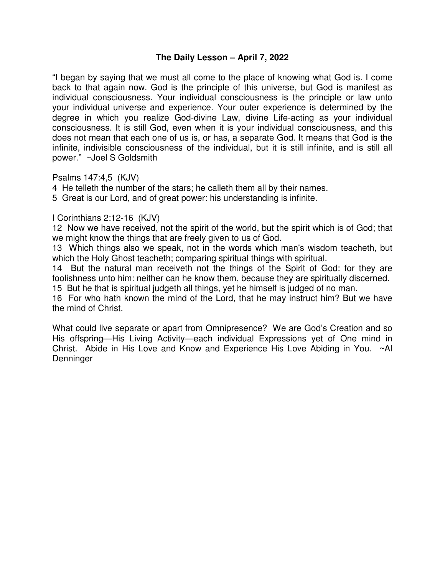# **The Daily Lesson – April 7, 2022**

"I began by saying that we must all come to the place of knowing what God is. I come back to that again now. God is the principle of this universe, but God is manifest as individual consciousness. Your individual consciousness is the principle or law unto your individual universe and experience. Your outer experience is determined by the degree in which you realize God-divine Law, divine Life-acting as your individual consciousness. It is still God, even when it is your individual consciousness, and this does not mean that each one of us is, or has, a separate God. It means that God is the infinite, indivisible consciousness of the individual, but it is still infinite, and is still all power." ~Joel S Goldsmith

Psalms 147:4,5 (KJV)

4 He telleth the number of the stars; he calleth them all by their names.

5 Great is our Lord, and of great power: his understanding is infinite.

I Corinthians 2:12-16 (KJV)

12 Now we have received, not the spirit of the world, but the spirit which is of God; that we might know the things that are freely given to us of God.

13 Which things also we speak, not in the words which man's wisdom teacheth, but which the Holy Ghost teacheth; comparing spiritual things with spiritual.

14 But the natural man receiveth not the things of the Spirit of God: for they are foolishness unto him: neither can he know them, because they are spiritually discerned. 15 But he that is spiritual judgeth all things, yet he himself is judged of no man.

16 For who hath known the mind of the Lord, that he may instruct him? But we have the mind of Christ.

What could live separate or apart from Omnipresence? We are God's Creation and so His offspring—His Living Activity—each individual Expressions yet of One mind in Christ. Abide in His Love and Know and Experience His Love Abiding in You. ~Al **Denninger**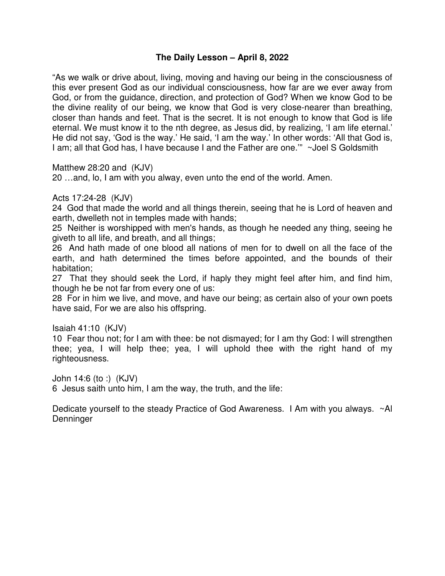# **The Daily Lesson – April 8, 2022**

"As we walk or drive about, living, moving and having our being in the consciousness of this ever present God as our individual consciousness, how far are we ever away from God, or from the guidance, direction, and protection of God? When we know God to be the divine reality of our being, we know that God is very close-nearer than breathing, closer than hands and feet. That is the secret. It is not enough to know that God is life eternal. We must know it to the nth degree, as Jesus did, by realizing, 'I am life eternal.' He did not say, 'God is the way.' He said, 'I am the way.' In other words: 'All that God is, I am; all that God has, I have because I and the Father are one.'" ~Joel S Goldsmith

Matthew 28:20 and (KJV)

20 …and, lo, I am with you alway, even unto the end of the world. Amen.

## Acts 17:24-28 (KJV)

24 God that made the world and all things therein, seeing that he is Lord of heaven and earth, dwelleth not in temples made with hands;

25 Neither is worshipped with men's hands, as though he needed any thing, seeing he giveth to all life, and breath, and all things;

26 And hath made of one blood all nations of men for to dwell on all the face of the earth, and hath determined the times before appointed, and the bounds of their habitation;

27 That they should seek the Lord, if haply they might feel after him, and find him, though he be not far from every one of us:

28 For in him we live, and move, and have our being; as certain also of your own poets have said, For we are also his offspring.

Isaiah 41:10 (KJV)

10 Fear thou not; for I am with thee: be not dismayed; for I am thy God: I will strengthen thee; yea, I will help thee; yea, I will uphold thee with the right hand of my righteousness.

John 14:6 (to :) (KJV) 6 Jesus saith unto him, I am the way, the truth, and the life:

Dedicate yourself to the steady Practice of God Awareness. I Am with you always. ~Al Denninger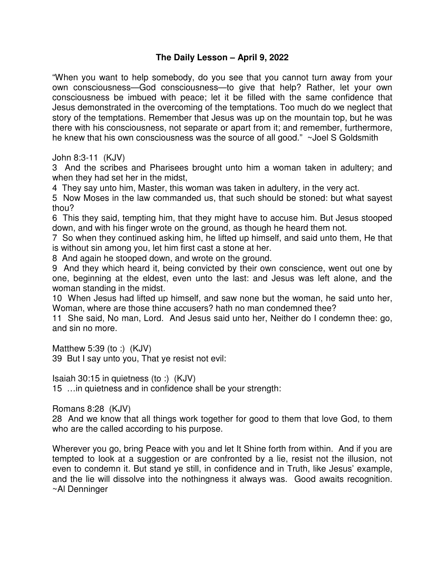# **The Daily Lesson – April 9, 2022**

"When you want to help somebody, do you see that you cannot turn away from your own consciousness—God consciousness—to give that help? Rather, let your own consciousness be imbued with peace; let it be filled with the same confidence that Jesus demonstrated in the overcoming of the temptations. Too much do we neglect that story of the temptations. Remember that Jesus was up on the mountain top, but he was there with his consciousness, not separate or apart from it; and remember, furthermore, he knew that his own consciousness was the source of all good." ~Joel S Goldsmith

John 8:3-11 (KJV)

3 And the scribes and Pharisees brought unto him a woman taken in adultery; and when they had set her in the midst,

4 They say unto him, Master, this woman was taken in adultery, in the very act.

5 Now Moses in the law commanded us, that such should be stoned: but what sayest thou?

6 This they said, tempting him, that they might have to accuse him. But Jesus stooped down, and with his finger wrote on the ground, as though he heard them not.

7 So when they continued asking him, he lifted up himself, and said unto them, He that is without sin among you, let him first cast a stone at her.

8 And again he stooped down, and wrote on the ground.

9 And they which heard it, being convicted by their own conscience, went out one by one, beginning at the eldest, even unto the last: and Jesus was left alone, and the woman standing in the midst.

10 When Jesus had lifted up himself, and saw none but the woman, he said unto her, Woman, where are those thine accusers? hath no man condemned thee?

11 She said, No man, Lord. And Jesus said unto her, Neither do I condemn thee: go, and sin no more.

Matthew 5:39 (to :) (KJV) 39 But I say unto you, That ye resist not evil:

Isaiah 30:15 in quietness (to :) (KJV) 15 …in quietness and in confidence shall be your strength:

Romans 8:28 (KJV)

28 And we know that all things work together for good to them that love God, to them who are the called according to his purpose.

Wherever you go, bring Peace with you and let It Shine forth from within. And if you are tempted to look at a suggestion or are confronted by a lie, resist not the illusion, not even to condemn it. But stand ye still, in confidence and in Truth, like Jesus' example, and the lie will dissolve into the nothingness it always was. Good awaits recognition. ~Al Denninger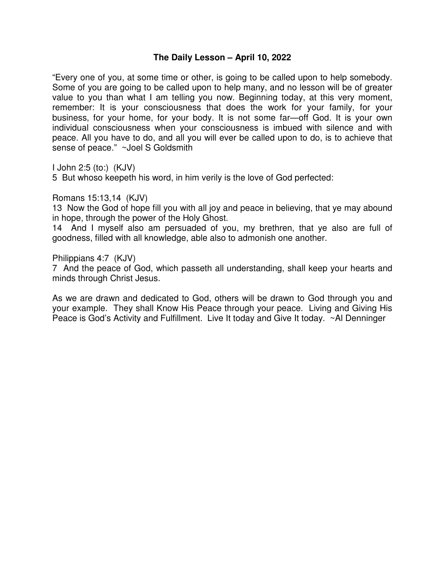### **The Daily Lesson – April 10, 2022**

"Every one of you, at some time or other, is going to be called upon to help somebody. Some of you are going to be called upon to help many, and no lesson will be of greater value to you than what I am telling you now. Beginning today, at this very moment, remember: It is your consciousness that does the work for your family, for your business, for your home, for your body. It is not some far—off God. It is your own individual consciousness when your consciousness is imbued with silence and with peace. All you have to do, and all you will ever be called upon to do, is to achieve that sense of peace." ~Joel S Goldsmith

I John 2:5 (to:) (KJV)

5 But whoso keepeth his word, in him verily is the love of God perfected:

Romans 15:13,14 (KJV)

13 Now the God of hope fill you with all joy and peace in believing, that ye may abound in hope, through the power of the Holy Ghost.

14 And I myself also am persuaded of you, my brethren, that ye also are full of goodness, filled with all knowledge, able also to admonish one another.

Philippians 4:7 (KJV)

7 And the peace of God, which passeth all understanding, shall keep your hearts and minds through Christ Jesus.

As we are drawn and dedicated to God, others will be drawn to God through you and your example. They shall Know His Peace through your peace. Living and Giving His Peace is God's Activity and Fulfillment. Live It today and Give It today. ~Al Denninger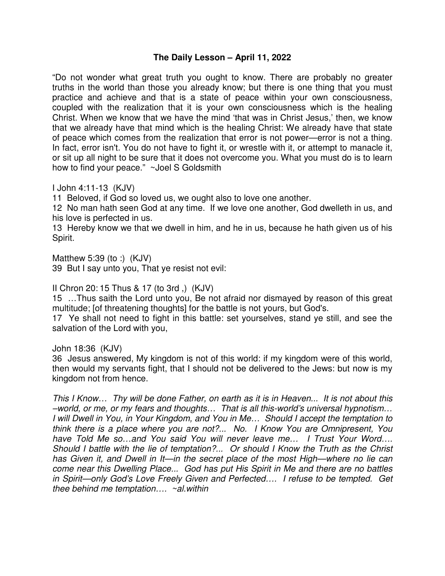## **The Daily Lesson – April 11, 2022**

"Do not wonder what great truth you ought to know. There are probably no greater truths in the world than those you already know; but there is one thing that you must practice and achieve and that is a state of peace within your own consciousness, coupled with the realization that it is your own consciousness which is the healing Christ. When we know that we have the mind 'that was in Christ Jesus,' then, we know that we already have that mind which is the healing Christ: We already have that state of peace which comes from the realization that error is not power—error is not a thing. In fact, error isn't. You do not have to fight it, or wrestle with it, or attempt to manacle it, or sit up all night to be sure that it does not overcome you. What you must do is to learn how to find your peace." ~Joel S Goldsmith

I John 4:11-13 (KJV)

11 Beloved, if God so loved us, we ought also to love one another.

12 No man hath seen God at any time. If we love one another, God dwelleth in us, and his love is perfected in us.

13 Hereby know we that we dwell in him, and he in us, because he hath given us of his Spirit.

Matthew 5:39 (to :) (KJV) 39 But I say unto you, That ye resist not evil:

II Chron 20: 15 Thus & 17 (to 3rd ,) (KJV)

15 …Thus saith the Lord unto you, Be not afraid nor dismayed by reason of this great multitude; [of threatening thoughts] for the battle is not yours, but God's.

17 Ye shall not need to fight in this battle: set yourselves, stand ye still, and see the salvation of the Lord with you,

John 18:36 (KJV)

36 Jesus answered, My kingdom is not of this world: if my kingdom were of this world, then would my servants fight, that I should not be delivered to the Jews: but now is my kingdom not from hence.

*This I Know… Thy will be done Father, on earth as it is in Heaven... It is not about this –world, or me, or my fears and thoughts… That is all this-world's universal hypnotism… I will Dwell in You, in Your Kingdom, and You in Me… Should I accept the temptation to think there is a place where you are not?... No. I Know You are Omnipresent, You have Told Me so…and You said You will never leave me… I Trust Your Word…. Should I battle with the lie of temptation?... Or should I Know the Truth as the Christ has Given it, and Dwell in It—in the secret place of the most High—where no lie can come near this Dwelling Place... God has put His Spirit in Me and there are no battles in Spirit—only God's Love Freely Given and Perfected…. I refuse to be tempted. Get thee behind me temptation…. ~al.within*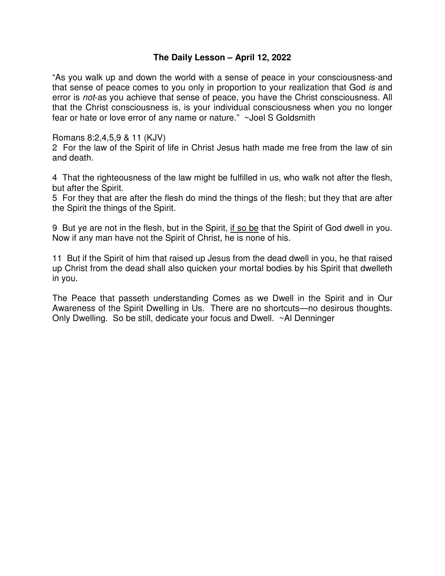# **The Daily Lesson – April 12, 2022**

"As you walk up and down the world with a sense of peace in your consciousness-and that sense of peace comes to you only in proportion to your realization that God *is* and error is *not*-as you achieve that sense of peace, you have the Christ consciousness. All that the Christ consciousness is, is your individual consciousness when you no longer fear or hate or love error of any name or nature." ~Joel S Goldsmith

Romans 8:2,4,5,9 & 11 (KJV)

2 For the law of the Spirit of life in Christ Jesus hath made me free from the law of sin and death.

4 That the righteousness of the law might be fulfilled in us, who walk not after the flesh, but after the Spirit.

5 For they that are after the flesh do mind the things of the flesh; but they that are after the Spirit the things of the Spirit.

9 But ye are not in the flesh, but in the Spirit, if so be that the Spirit of God dwell in you. Now if any man have not the Spirit of Christ, he is none of his.

11 But if the Spirit of him that raised up Jesus from the dead dwell in you, he that raised up Christ from the dead shall also quicken your mortal bodies by his Spirit that dwelleth in you.

The Peace that passeth understanding Comes as we Dwell in the Spirit and in Our Awareness of the Spirit Dwelling in Us. There are no shortcuts—no desirous thoughts. Only Dwelling. So be still, dedicate your focus and Dwell. ~Al Denninger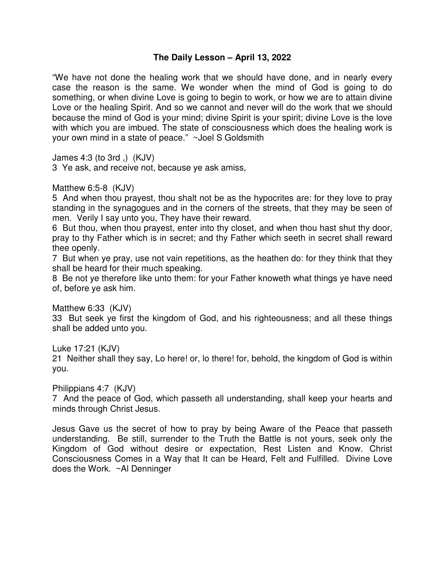## **The Daily Lesson – April 13, 2022**

"We have not done the healing work that we should have done, and in nearly every case the reason is the same. We wonder when the mind of God is going to do something, or when divine Love is going to begin to work, or how we are to attain divine Love or the healing Spirit. And so we cannot and never will do the work that we should because the mind of God is your mind; divine Spirit is your spirit; divine Love is the love with which you are imbued. The state of consciousness which does the healing work is your own mind in a state of peace." ~Joel S Goldsmith

James 4:3 (to 3rd ,) (KJV)

3 Ye ask, and receive not, because ye ask amiss,

Matthew 6:5-8 (KJV)

5 And when thou prayest, thou shalt not be as the hypocrites are: for they love to pray standing in the synagogues and in the corners of the streets, that they may be seen of men. Verily I say unto you, They have their reward.

6 But thou, when thou prayest, enter into thy closet, and when thou hast shut thy door, pray to thy Father which is in secret; and thy Father which seeth in secret shall reward thee openly.

7 But when ye pray, use not vain repetitions, as the heathen do: for they think that they shall be heard for their much speaking.

8 Be not ye therefore like unto them: for your Father knoweth what things ye have need of, before ye ask him.

Matthew 6:33 (KJV)

33 But seek ye first the kingdom of God, and his righteousness; and all these things shall be added unto you.

Luke 17:21 (KJV)

21 Neither shall they say, Lo here! or, lo there! for, behold, the kingdom of God is within you.

Philippians 4:7 (KJV)

7 And the peace of God, which passeth all understanding, shall keep your hearts and minds through Christ Jesus.

Jesus Gave us the secret of how to pray by being Aware of the Peace that passeth understanding. Be still, surrender to the Truth the Battle is not yours, seek only the Kingdom of God without desire or expectation, Rest Listen and Know. Christ Consciousness Comes in a Way that It can be Heard, Felt and Fulfilled. Divine Love does the Work. ~Al Denninger